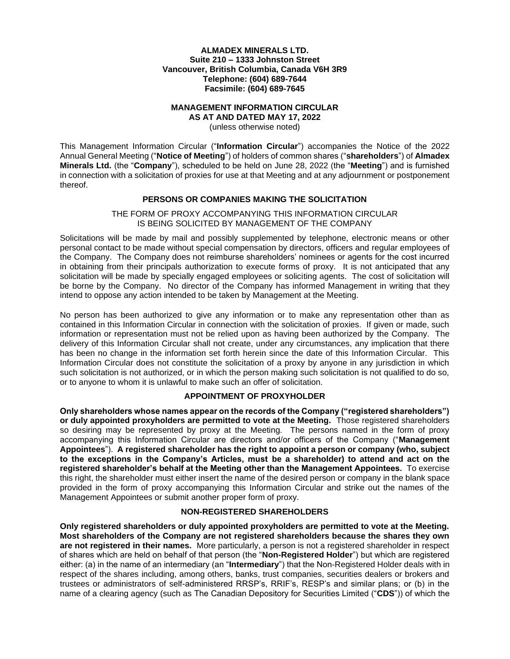## **ALMADEX MINERALS LTD. Suite 210 – 1333 Johnston Street Vancouver, British Columbia, Canada V6H 3R9 Telephone: (604) 689-7644 Facsimile: (604) 689-7645**

# **MANAGEMENT INFORMATION CIRCULAR**

**AS AT AND DATED MAY 17, 2022**

(unless otherwise noted)

This Management Information Circular ("**Information Circular**") accompanies the Notice of the 2022 Annual General Meeting ("**Notice of Meeting**") of holders of common shares ("**shareholders**") of **Almadex Minerals Ltd.** (the "**Company**"), scheduled to be held on June 28, 2022 (the "**Meeting**") and is furnished in connection with a solicitation of proxies for use at that Meeting and at any adjournment or postponement thereof.

# **PERSONS OR COMPANIES MAKING THE SOLICITATION**

THE FORM OF PROXY ACCOMPANYING THIS INFORMATION CIRCULAR IS BEING SOLICITED BY MANAGEMENT OF THE COMPANY

Solicitations will be made by mail and possibly supplemented by telephone, electronic means or other personal contact to be made without special compensation by directors, officers and regular employees of the Company. The Company does not reimburse shareholders' nominees or agents for the cost incurred in obtaining from their principals authorization to execute forms of proxy. It is not anticipated that any solicitation will be made by specially engaged employees or soliciting agents. The cost of solicitation will be borne by the Company. No director of the Company has informed Management in writing that they intend to oppose any action intended to be taken by Management at the Meeting.

No person has been authorized to give any information or to make any representation other than as contained in this Information Circular in connection with the solicitation of proxies. If given or made, such information or representation must not be relied upon as having been authorized by the Company. The delivery of this Information Circular shall not create, under any circumstances, any implication that there has been no change in the information set forth herein since the date of this Information Circular. This Information Circular does not constitute the solicitation of a proxy by anyone in any jurisdiction in which such solicitation is not authorized, or in which the person making such solicitation is not qualified to do so, or to anyone to whom it is unlawful to make such an offer of solicitation.

## **APPOINTMENT OF PROXYHOLDER**

**Only shareholders whose names appear on the records of the Company ("registered shareholders") or duly appointed proxyholders are permitted to vote at the Meeting.** Those registered shareholders so desiring may be represented by proxy at the Meeting. The persons named in the form of proxy accompanying this Information Circular are directors and/or officers of the Company ("**Management Appointees**"). **A registered shareholder has the right to appoint a person or company (who, subject to the exceptions in the Company's Articles, must be a shareholder) to attend and act on the registered shareholder's behalf at the Meeting other than the Management Appointees.** To exercise this right, the shareholder must either insert the name of the desired person or company in the blank space provided in the form of proxy accompanying this Information Circular and strike out the names of the Management Appointees or submit another proper form of proxy.

## **NON-REGISTERED SHAREHOLDERS**

**Only registered shareholders or duly appointed proxyholders are permitted to vote at the Meeting. Most shareholders of the Company are not registered shareholders because the shares they own are not registered in their names.** More particularly, a person is not a registered shareholder in respect of shares which are held on behalf of that person (the "**Non-Registered Holder**") but which are registered either: (a) in the name of an intermediary (an "**Intermediary**") that the Non-Registered Holder deals with in respect of the shares including, among others, banks, trust companies, securities dealers or brokers and trustees or administrators of self-administered RRSP's, RRIF's, RESP's and similar plans; or (b) in the name of a clearing agency (such as The Canadian Depository for Securities Limited ("**CDS**")) of which the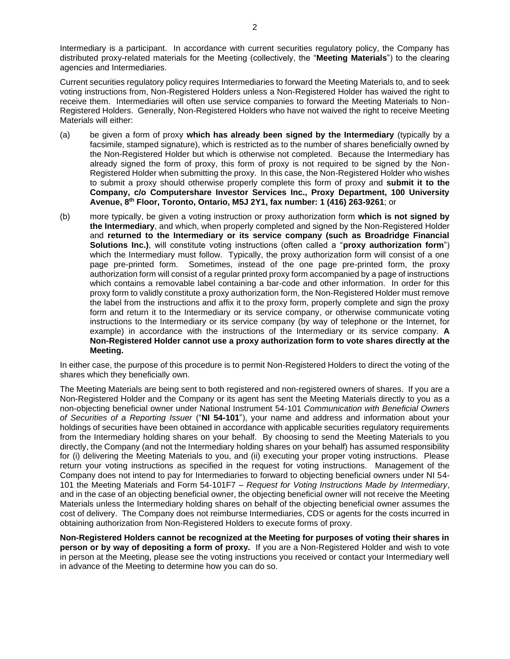Intermediary is a participant. In accordance with current securities regulatory policy, the Company has distributed proxy-related materials for the Meeting (collectively, the "**Meeting Materials**") to the clearing agencies and Intermediaries.

Current securities regulatory policy requires Intermediaries to forward the Meeting Materials to, and to seek voting instructions from, Non-Registered Holders unless a Non-Registered Holder has waived the right to receive them. Intermediaries will often use service companies to forward the Meeting Materials to Non-Registered Holders. Generally, Non-Registered Holders who have not waived the right to receive Meeting Materials will either:

- (a) be given a form of proxy **which has already been signed by the Intermediary** (typically by a facsimile, stamped signature), which is restricted as to the number of shares beneficially owned by the Non-Registered Holder but which is otherwise not completed. Because the Intermediary has already signed the form of proxy, this form of proxy is not required to be signed by the Non-Registered Holder when submitting the proxy. In this case, the Non-Registered Holder who wishes to submit a proxy should otherwise properly complete this form of proxy and **submit it to the Company, c/o Computershare Investor Services Inc., Proxy Department, 100 University Avenue, 8 th Floor, Toronto, Ontario, M5J 2Y1, fax number: 1 (416) 263-9261**; or
- (b) more typically, be given a voting instruction or proxy authorization form **which is not signed by the Intermediary**, and which, when properly completed and signed by the Non-Registered Holder and **returned to the Intermediary or its service company (such as Broadridge Financial Solutions Inc.)**, will constitute voting instructions (often called a "**proxy authorization form**") which the Intermediary must follow. Typically, the proxy authorization form will consist of a one page pre-printed form. Sometimes, instead of the one page pre-printed form, the proxy authorization form will consist of a regular printed proxy form accompanied by a page of instructions which contains a removable label containing a bar-code and other information. In order for this proxy form to validly constitute a proxy authorization form, the Non-Registered Holder must remove the label from the instructions and affix it to the proxy form, properly complete and sign the proxy form and return it to the Intermediary or its service company, or otherwise communicate voting instructions to the Intermediary or its service company (by way of telephone or the Internet, for example) in accordance with the instructions of the Intermediary or its service company. **A Non-Registered Holder cannot use a proxy authorization form to vote shares directly at the Meeting.**

In either case, the purpose of this procedure is to permit Non-Registered Holders to direct the voting of the shares which they beneficially own.

The Meeting Materials are being sent to both registered and non-registered owners of shares. If you are a Non-Registered Holder and the Company or its agent has sent the Meeting Materials directly to you as a non-objecting beneficial owner under National Instrument 54-101 *Communication with Beneficial Owners of Securities of a Reporting Issuer* ("**NI 54-101**"), your name and address and information about your holdings of securities have been obtained in accordance with applicable securities regulatory requirements from the Intermediary holding shares on your behalf. By choosing to send the Meeting Materials to you directly, the Company (and not the Intermediary holding shares on your behalf) has assumed responsibility for (i) delivering the Meeting Materials to you, and (ii) executing your proper voting instructions. Please return your voting instructions as specified in the request for voting instructions. Management of the Company does not intend to pay for Intermediaries to forward to objecting beneficial owners under NI 54- 101 the Meeting Materials and Form 54-101F7 – *Request for Voting Instructions Made by Intermediary*, and in the case of an objecting beneficial owner, the objecting beneficial owner will not receive the Meeting Materials unless the Intermediary holding shares on behalf of the objecting beneficial owner assumes the cost of delivery. The Company does not reimburse Intermediaries, CDS or agents for the costs incurred in obtaining authorization from Non-Registered Holders to execute forms of proxy.

**Non-Registered Holders cannot be recognized at the Meeting for purposes of voting their shares in person or by way of depositing a form of proxy.** If you are a Non-Registered Holder and wish to vote in person at the Meeting, please see the voting instructions you received or contact your Intermediary well in advance of the Meeting to determine how you can do so.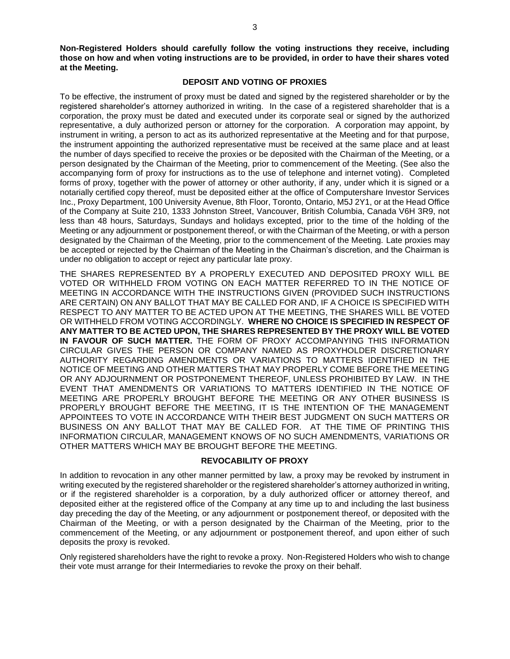**Non-Registered Holders should carefully follow the voting instructions they receive, including those on how and when voting instructions are to be provided, in order to have their shares voted at the Meeting.**

## **DEPOSIT AND VOTING OF PROXIES**

To be effective, the instrument of proxy must be dated and signed by the registered shareholder or by the registered shareholder's attorney authorized in writing. In the case of a registered shareholder that is a corporation, the proxy must be dated and executed under its corporate seal or signed by the authorized representative, a duly authorized person or attorney for the corporation. A corporation may appoint, by instrument in writing, a person to act as its authorized representative at the Meeting and for that purpose, the instrument appointing the authorized representative must be received at the same place and at least the number of days specified to receive the proxies or be deposited with the Chairman of the Meeting, or a person designated by the Chairman of the Meeting, prior to commencement of the Meeting. (See also the accompanying form of proxy for instructions as to the use of telephone and internet voting). Completed forms of proxy, together with the power of attorney or other authority, if any, under which it is signed or a notarially certified copy thereof, must be deposited either at the office of Computershare Investor Services Inc., Proxy Department, 100 University Avenue, 8th Floor, Toronto, Ontario, M5J 2Y1, or at the Head Office of the Company at Suite 210, 1333 Johnston Street, Vancouver, British Columbia, Canada V6H 3R9, not less than 48 hours, Saturdays, Sundays and holidays excepted, prior to the time of the holding of the Meeting or any adjournment or postponement thereof, or with the Chairman of the Meeting, or with a person designated by the Chairman of the Meeting, prior to the commencement of the Meeting. Late proxies may be accepted or rejected by the Chairman of the Meeting in the Chairman's discretion, and the Chairman is under no obligation to accept or reject any particular late proxy.

THE SHARES REPRESENTED BY A PROPERLY EXECUTED AND DEPOSITED PROXY WILL BE VOTED OR WITHHELD FROM VOTING ON EACH MATTER REFERRED TO IN THE NOTICE OF MEETING IN ACCORDANCE WITH THE INSTRUCTIONS GIVEN (PROVIDED SUCH INSTRUCTIONS ARE CERTAIN) ON ANY BALLOT THAT MAY BE CALLED FOR AND, IF A CHOICE IS SPECIFIED WITH RESPECT TO ANY MATTER TO BE ACTED UPON AT THE MEETING, THE SHARES WILL BE VOTED OR WITHHELD FROM VOTING ACCORDINGLY. **WHERE NO CHOICE IS SPECIFIED IN RESPECT OF ANY MATTER TO BE ACTED UPON, THE SHARES REPRESENTED BY THE PROXY WILL BE VOTED IN FAVOUR OF SUCH MATTER.** THE FORM OF PROXY ACCOMPANYING THIS INFORMATION CIRCULAR GIVES THE PERSON OR COMPANY NAMED AS PROXYHOLDER DISCRETIONARY AUTHORITY REGARDING AMENDMENTS OR VARIATIONS TO MATTERS IDENTIFIED IN THE NOTICE OF MEETING AND OTHER MATTERS THAT MAY PROPERLY COME BEFORE THE MEETING OR ANY ADJOURNMENT OR POSTPONEMENT THEREOF, UNLESS PROHIBITED BY LAW. IN THE EVENT THAT AMENDMENTS OR VARIATIONS TO MATTERS IDENTIFIED IN THE NOTICE OF MEETING ARE PROPERLY BROUGHT BEFORE THE MEETING OR ANY OTHER BUSINESS IS PROPERLY BROUGHT BEFORE THE MEETING, IT IS THE INTENTION OF THE MANAGEMENT APPOINTEES TO VOTE IN ACCORDANCE WITH THEIR BEST JUDGMENT ON SUCH MATTERS OR BUSINESS ON ANY BALLOT THAT MAY BE CALLED FOR. AT THE TIME OF PRINTING THIS INFORMATION CIRCULAR, MANAGEMENT KNOWS OF NO SUCH AMENDMENTS, VARIATIONS OR OTHER MATTERS WHICH MAY BE BROUGHT BEFORE THE MEETING.

#### **REVOCABILITY OF PROXY**

In addition to revocation in any other manner permitted by law, a proxy may be revoked by instrument in writing executed by the registered shareholder or the registered shareholder's attorney authorized in writing, or if the registered shareholder is a corporation, by a duly authorized officer or attorney thereof, and deposited either at the registered office of the Company at any time up to and including the last business day preceding the day of the Meeting, or any adjournment or postponement thereof, or deposited with the Chairman of the Meeting, or with a person designated by the Chairman of the Meeting, prior to the commencement of the Meeting, or any adjournment or postponement thereof, and upon either of such deposits the proxy is revoked.

Only registered shareholders have the right to revoke a proxy. Non-Registered Holders who wish to change their vote must arrange for their Intermediaries to revoke the proxy on their behalf.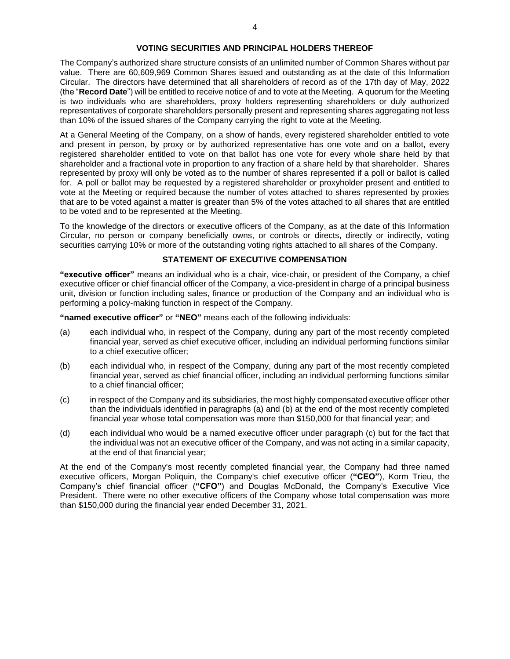The Company's authorized share structure consists of an unlimited number of Common Shares without par value. There are 60,609,969 Common Shares issued and outstanding as at the date of this Information Circular. The directors have determined that all shareholders of record as of the 17th day of May, 2022 (the "**Record Date**") will be entitled to receive notice of and to vote at the Meeting. A quorum for the Meeting is two individuals who are shareholders, proxy holders representing shareholders or duly authorized representatives of corporate shareholders personally present and representing shares aggregating not less than 10% of the issued shares of the Company carrying the right to vote at the Meeting.

At a General Meeting of the Company, on a show of hands, every registered shareholder entitled to vote and present in person, by proxy or by authorized representative has one vote and on a ballot, every registered shareholder entitled to vote on that ballot has one vote for every whole share held by that shareholder and a fractional vote in proportion to any fraction of a share held by that shareholder. Shares represented by proxy will only be voted as to the number of shares represented if a poll or ballot is called for. A poll or ballot may be requested by a registered shareholder or proxyholder present and entitled to vote at the Meeting or required because the number of votes attached to shares represented by proxies that are to be voted against a matter is greater than 5% of the votes attached to all shares that are entitled to be voted and to be represented at the Meeting.

To the knowledge of the directors or executive officers of the Company, as at the date of this Information Circular, no person or company beneficially owns, or controls or directs, directly or indirectly, voting securities carrying 10% or more of the outstanding voting rights attached to all shares of the Company.

# **STATEMENT OF EXECUTIVE COMPENSATION**

**"executive officer"** means an individual who is a chair, vice-chair, or president of the Company, a chief executive officer or chief financial officer of the Company, a vice-president in charge of a principal business unit, division or function including sales, finance or production of the Company and an individual who is performing a policy-making function in respect of the Company.

**"named executive officer"** or **"NEO"** means each of the following individuals:

- (a) each individual who, in respect of the Company, during any part of the most recently completed financial year, served as chief executive officer, including an individual performing functions similar to a chief executive officer;
- (b) each individual who, in respect of the Company, during any part of the most recently completed financial year, served as chief financial officer, including an individual performing functions similar to a chief financial officer;
- (c) in respect of the Company and its subsidiaries, the most highly compensated executive officer other than the individuals identified in paragraphs (a) and (b) at the end of the most recently completed financial year whose total compensation was more than \$150,000 for that financial year; and
- (d) each individual who would be a named executive officer under paragraph (c) but for the fact that the individual was not an executive officer of the Company, and was not acting in a similar capacity, at the end of that financial year;

At the end of the Company's most recently completed financial year, the Company had three named executive officers, Morgan Poliquin, the Company's chief executive officer (**"CEO"**), Korm Trieu, the Company's chief financial officer (**"CFO"**) and Douglas McDonald, the Company's Executive Vice President. There were no other executive officers of the Company whose total compensation was more than \$150,000 during the financial year ended December 31, 2021.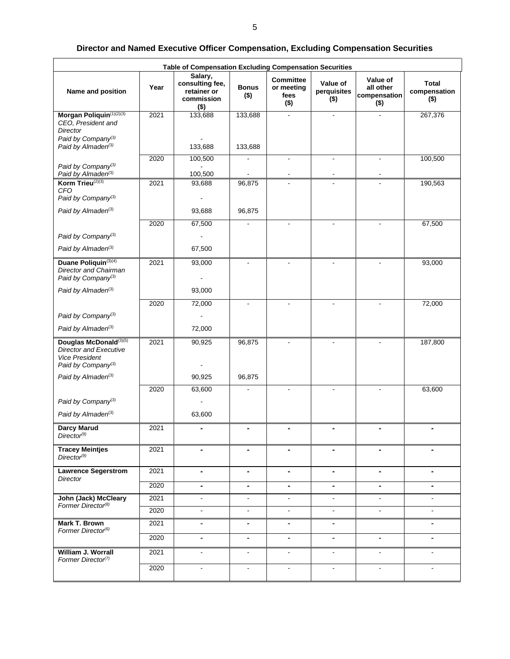| Table of Compensation Excluding Compensation Securities                                                            |      |                                                                    |                          |                                                   |                                    |                                                  |                                         |
|--------------------------------------------------------------------------------------------------------------------|------|--------------------------------------------------------------------|--------------------------|---------------------------------------------------|------------------------------------|--------------------------------------------------|-----------------------------------------|
| Name and position                                                                                                  | Year | Salary,<br>consulting fee,<br>retainer or<br>commission<br>$($ \$) | <b>Bonus</b><br>$($ \$)  | <b>Committee</b><br>or meeting<br>fees<br>$($ \$) | Value of<br>perquisites<br>$($ \$) | Value of<br>all other<br>compensation<br>$($ \$) | <b>Total</b><br>compensation<br>$($ \$) |
| Morgan Poliquin(1)(2)(3)<br>CEO, President and                                                                     | 2021 | 133,688                                                            | 133,688                  | $\overline{a}$                                    | $\blacksquare$                     |                                                  | 267,376                                 |
| Director                                                                                                           |      |                                                                    |                          |                                                   |                                    |                                                  |                                         |
| Paid by Company <sup>(3)</sup><br>Paid by Almaden <sup>(3)</sup>                                                   |      |                                                                    |                          |                                                   |                                    |                                                  |                                         |
|                                                                                                                    |      | 133,688                                                            | 133,688                  |                                                   |                                    |                                                  |                                         |
| Paid by Company <sup>(3)</sup>                                                                                     | 2020 | 100,500                                                            | $\blacksquare$           | $\blacksquare$                                    | $\blacksquare$                     | $\overline{a}$                                   | 100,500                                 |
| Paid by Almaden <sup>(3)</sup>                                                                                     |      | 100,500                                                            |                          |                                                   |                                    |                                                  |                                         |
| Korm Trieu(2)(3)<br>CFO                                                                                            | 2021 | 93,688                                                             | 96,875                   |                                                   |                                    |                                                  | 190,563                                 |
| Paid by Company <sup>(3)</sup>                                                                                     |      |                                                                    |                          |                                                   |                                    |                                                  |                                         |
| Paid by Almaden <sup>(3)</sup>                                                                                     |      | 93,688                                                             | 96,875                   |                                                   |                                    |                                                  |                                         |
|                                                                                                                    | 2020 | 67,500                                                             |                          | $\overline{a}$                                    | ÷                                  |                                                  | 67,500                                  |
| Paid by Company <sup>(3)</sup>                                                                                     |      |                                                                    |                          |                                                   |                                    |                                                  |                                         |
| Paid by Almaden <sup>(3)</sup>                                                                                     |      | 67,500                                                             |                          |                                                   |                                    |                                                  |                                         |
| Duane Poliquin(3)(4)                                                                                               | 2021 | 93,000                                                             |                          |                                                   |                                    |                                                  | 93,000                                  |
| Director and Chairman<br>Paid by Company <sup>(3)</sup>                                                            |      |                                                                    |                          |                                                   |                                    |                                                  |                                         |
| Paid by Almaden <sup>(3)</sup>                                                                                     |      | 93,000                                                             |                          |                                                   |                                    |                                                  |                                         |
|                                                                                                                    | 2020 | 72,000                                                             |                          |                                                   |                                    |                                                  | 72,000                                  |
| Paid by Company <sup>(3)</sup>                                                                                     |      |                                                                    |                          |                                                   |                                    |                                                  |                                         |
| Paid by Almaden <sup>(3)</sup>                                                                                     |      | 72,000                                                             |                          |                                                   |                                    |                                                  |                                         |
| Douglas McDonald(3)(5)<br><b>Director and Executive</b><br><b>Vice President</b><br>Paid by Company <sup>(3)</sup> | 2021 | 90,925                                                             | 96,875                   |                                                   |                                    |                                                  | 187,800                                 |
| Paid by Almaden <sup>(3)</sup>                                                                                     |      | 90,925                                                             | 96,875                   |                                                   |                                    |                                                  |                                         |
|                                                                                                                    | 2020 | 63,600                                                             |                          | $\blacksquare$                                    |                                    |                                                  | 63,600                                  |
| Paid by Company <sup>(3)</sup>                                                                                     |      |                                                                    |                          |                                                   |                                    |                                                  |                                         |
| Paid by Almaden <sup>(3)</sup>                                                                                     |      | 63,600                                                             |                          |                                                   |                                    |                                                  |                                         |
| <b>Darcy Marud</b><br>Director <sup>(9)</sup>                                                                      | 2021 | Ä,                                                                 | ×,                       | ä,                                                | ×.                                 |                                                  | ×.                                      |
| <b>Tracey Meintjes</b><br>$Directory^{(9)}$                                                                        | 2021 | ۰                                                                  | ۰                        | ۰                                                 | ۰                                  | ۰                                                | ۰                                       |
| <b>Lawrence Segerstrom</b><br>Director                                                                             | 2021 | $\sim$                                                             | $\blacksquare$           | $\blacksquare$                                    | $\blacksquare$                     | $\blacksquare$                                   | $\blacksquare$                          |
|                                                                                                                    | 2020 | $\blacksquare$                                                     | $\blacksquare$           | $\blacksquare$                                    | $\blacksquare$                     | $\sim$                                           | $\blacksquare$                          |
| John (Jack) McCleary                                                                                               | 2021 | $\blacksquare$                                                     | $\blacksquare$           | $\blacksquare$                                    | $\sim$                             | $\sim$                                           | ÷.                                      |
| Former Director <sup>(8)</sup>                                                                                     | 2020 | $\blacksquare$                                                     | $\blacksquare$           | $\blacksquare$                                    | $\blacksquare$                     | $\blacksquare$                                   | ÷.                                      |
| Mark T. Brown<br>Former Director <sup>(6)</sup>                                                                    | 2021 | ۰                                                                  | ۰                        | ×.                                                | $\blacksquare$                     |                                                  | $\blacksquare$                          |
|                                                                                                                    | 2020 | $\blacksquare$                                                     | $\blacksquare$           | $\blacksquare$                                    | $\blacksquare$                     | $\blacksquare$                                   | ÷                                       |
| <b>William J. Worrall</b><br>Former Director <sup>(7)</sup>                                                        | 2021 | ÷                                                                  | $\overline{\phantom{a}}$ | $\blacksquare$                                    | $\blacksquare$                     | ۰                                                |                                         |
|                                                                                                                    | 2020 | $\blacksquare$                                                     | $\blacksquare$           | $\blacksquare$                                    | $\blacksquare$                     | $\blacksquare$                                   | ۰                                       |

# **Director and Named Executive Officer Compensation, Excluding Compensation Securities**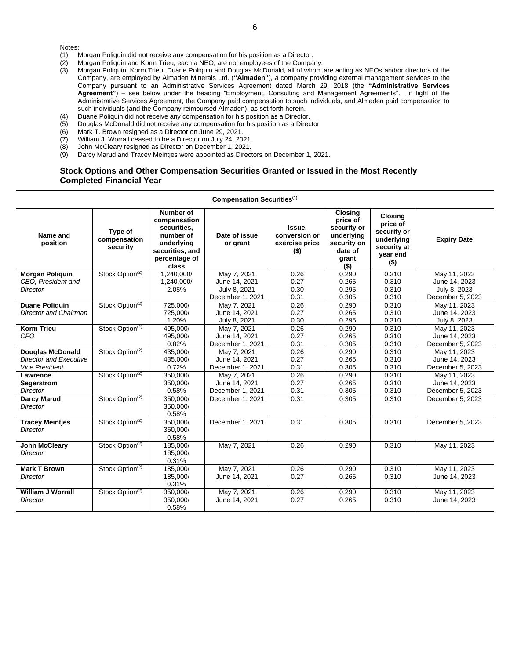Notes:

- (1) Morgan Poliquin did not receive any compensation for his position as a Director.
- (2) Morgan Poliquin and Korm Trieu, each a NEO, are not employees of the Company.
- (3) Morgan Poliquin, Korm Trieu, Duane Poliquin and Douglas McDonald, all of whom are acting as NEOs and/or directors of the Company, are employed by Almaden Minerals Ltd. (**"Almaden"**), a company providing external management services to the Company pursuant to an Administrative Services Agreement dated March 29, 2018 (the **"Administrative Services Agreement"**) – see below under the heading "Employment, Consulting and Management Agreements". In light of the Administrative Services Agreement, the Company paid compensation to such individuals, and Almaden paid compensation to such individuals (and the Company reimbursed Almaden), as set forth herein.
- 
- (4) Duane Poliquin did not receive any compensation for his position as a Director.  $(5)$  Douglas McDonald did not receive any compensation for his position as a Director  $(6)$  Mark T. Brown resigned as a Director on June 29, 2021.
- Mark T. Brown resigned as a Director on June 29, 2021.
- (7) William J. Worrall ceased to be a Director on July 24, 2021.
- (8) John McCleary resigned as Director on December 1, 2021.
- (9) Darcy Marud and Tracey Meintjes were appointed as Directors on December 1, 2021.

#### **Stock Options and Other Compensation Securities Granted or Issued in the Most Recently Completed Financial Year**

| Compensation Securities <sup>(1)</sup>    |                                     |                                                                                                                  |                           |                                                      |                                                                                                       |                                                                                               |                    |
|-------------------------------------------|-------------------------------------|------------------------------------------------------------------------------------------------------------------|---------------------------|------------------------------------------------------|-------------------------------------------------------------------------------------------------------|-----------------------------------------------------------------------------------------------|--------------------|
| Name and<br>position                      | Type of<br>compensation<br>security | Number of<br>compensation<br>securities,<br>number of<br>underlying<br>securities, and<br>percentage of<br>class | Date of issue<br>or grant | Issue,<br>conversion or<br>exercise price<br>$($ \$) | <b>Closing</b><br>price of<br>security or<br>underlying<br>security on<br>date of<br>grant<br>$($ \$) | <b>Closing</b><br>price of<br>security or<br>underlying<br>security at<br>year end<br>$($ \$) | <b>Expiry Date</b> |
| <b>Morgan Poliquin</b>                    | Stock Option <sup>(2)</sup>         | 1.240.000/                                                                                                       | May 7, 2021               | 0.26                                                 | 0.290                                                                                                 | 0.310                                                                                         | May 11, 2023       |
| CEO, President and                        |                                     | 1,240,000/                                                                                                       | June 14, 2021             | 0.27                                                 | 0.265                                                                                                 | 0.310                                                                                         | June 14, 2023      |
| <b>Director</b>                           |                                     | 2.05%                                                                                                            | July 8, 2021              | 0.30                                                 | 0.295                                                                                                 | 0.310                                                                                         | July 8, 2023       |
|                                           |                                     |                                                                                                                  | December 1, 2021          | 0.31                                                 | 0.305                                                                                                 | 0.310                                                                                         | December 5, 2023   |
| <b>Duane Poliquin</b>                     | Stock Option <sup>(2)</sup>         | 725,000/                                                                                                         | May 7, 2021               | 0.26                                                 | 0.290                                                                                                 | 0.310                                                                                         | May 11, 2023       |
| Director and Chairman                     |                                     | 725,000/                                                                                                         | June 14, 2021             | 0.27                                                 | 0.265                                                                                                 | 0.310                                                                                         | June 14, 2023      |
|                                           |                                     | 1.20%                                                                                                            | July 8, 2021              | 0.30                                                 | 0.295                                                                                                 | 0.310                                                                                         | July 8, 2023       |
| <b>Korm Trieu</b>                         | Stock Option <sup>(2)</sup>         | 495,000/                                                                                                         | May 7, 2021               | 0.26                                                 | 0.290                                                                                                 | 0.310                                                                                         | May 11, 2023       |
| CFO                                       |                                     | 495,000/                                                                                                         | June 14, 2021             | 0.27                                                 | 0.265                                                                                                 | 0.310                                                                                         | June 14, 2023      |
|                                           |                                     | 0.82%                                                                                                            | December 1, 2021          | 0.31                                                 | 0.305                                                                                                 | 0.310                                                                                         | December 5, 2023   |
| <b>Douglas McDonald</b>                   | Stock Option <sup>(2)</sup>         | 435,000/                                                                                                         | May 7, 2021               | 0.26                                                 | 0.290                                                                                                 | 0.310                                                                                         | May 11, 2023       |
| <b>Director and Executive</b>             |                                     | 435,000/                                                                                                         | June 14, 2021             | 0.27                                                 | 0.265                                                                                                 | 0.310                                                                                         | June 14, 2023      |
| <b>Vice President</b>                     |                                     | 0.72%                                                                                                            | December 1, 2021          | 0.31                                                 | 0.305                                                                                                 | 0.310                                                                                         | December 5, 2023   |
| Lawrence                                  | Stock Option <sup>(2)</sup>         | 350,000/                                                                                                         | May 7, 2021               | 0.26                                                 | 0.290                                                                                                 | 0.310                                                                                         | May 11, 2023       |
| <b>Segerstrom</b>                         |                                     | 350,000/                                                                                                         | June 14, 2021             | 0.27                                                 | 0.265                                                                                                 | 0.310                                                                                         | June 14, 2023      |
| <b>Director</b>                           |                                     | 0.58%                                                                                                            | December 1, 2021          | 0.31                                                 | 0.305                                                                                                 | 0.310                                                                                         | December 5, 2023   |
| <b>Darcy Marud</b><br><b>Director</b>     | Stock Option <sup>(2)</sup>         | 350,000/<br>350,000/<br>0.58%                                                                                    | December 1, 2021          | 0.31                                                 | 0.305                                                                                                 | 0.310                                                                                         | December 5, 2023   |
| <b>Tracey Meintjes</b><br><b>Director</b> | Stock Option <sup>(2)</sup>         | 350,000/<br>350,000/<br>0.58%                                                                                    | December 1, 2021          | 0.31                                                 | 0.305                                                                                                 | 0.310                                                                                         | December 5, 2023   |
| John McCleary<br><b>Director</b>          | Stock Option <sup>(2)</sup>         | 185,000/<br>185,000/<br>0.31%                                                                                    | May 7, 2021               | 0.26                                                 | 0.290                                                                                                 | 0.310                                                                                         | May 11, 2023       |
| <b>Mark T Brown</b>                       | Stock Option <sup>(2)</sup>         | 185,000/                                                                                                         | May 7, 2021               | 0.26                                                 | 0.290                                                                                                 | 0.310                                                                                         | May 11, 2023       |
| <b>Director</b>                           |                                     | 185,000/<br>0.31%                                                                                                | June 14, 2021             | 0.27                                                 | 0.265                                                                                                 | 0.310                                                                                         | June 14, 2023      |
| <b>William J Worrall</b>                  | Stock Option <sup>(2)</sup>         | 350,000/                                                                                                         | May 7, 2021               | 0.26                                                 | 0.290                                                                                                 | 0.310                                                                                         | May 11, 2023       |
| <b>Director</b>                           |                                     | 350,000/<br>0.58%                                                                                                | June 14, 2021             | 0.27                                                 | 0.265                                                                                                 | 0.310                                                                                         | June 14, 2023      |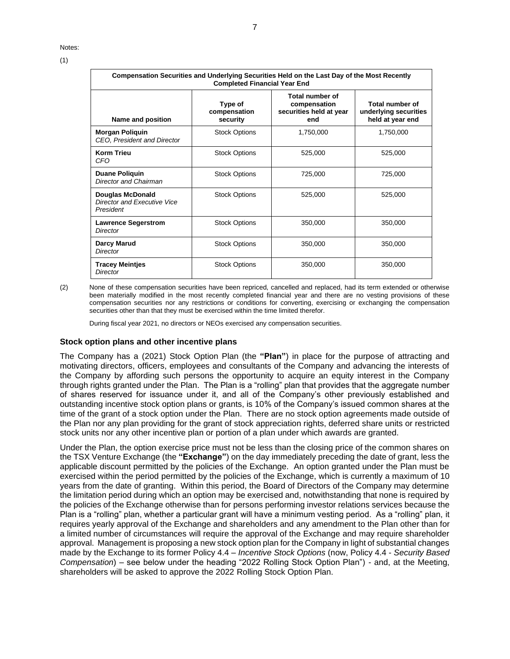Notes:

(1)

| Compensation Securities and Underlying Securities Held on the Last Day of the Most Recently<br><b>Completed Financial Year End</b> |                                     |                                                                          |                                                              |  |
|------------------------------------------------------------------------------------------------------------------------------------|-------------------------------------|--------------------------------------------------------------------------|--------------------------------------------------------------|--|
| Name and position                                                                                                                  | Type of<br>compensation<br>security | <b>Total number of</b><br>compensation<br>securities held at year<br>end | Total number of<br>underlying securities<br>held at year end |  |
| <b>Morgan Poliquin</b><br>CEO, President and Director                                                                              | <b>Stock Options</b>                | 1,750,000                                                                | 1,750,000                                                    |  |
| <b>Korm Trieu</b><br>CFO                                                                                                           | <b>Stock Options</b>                | 525,000                                                                  | 525,000                                                      |  |
| <b>Duane Poliquin</b><br>Director and Chairman                                                                                     | <b>Stock Options</b>                | 725,000                                                                  | 725,000                                                      |  |
| <b>Douglas McDonald</b><br>Director and Executive Vice<br>President                                                                | <b>Stock Options</b>                | 525,000                                                                  | 525,000                                                      |  |
| <b>Lawrence Segerstrom</b><br><b>Director</b>                                                                                      | <b>Stock Options</b>                | 350,000                                                                  | 350,000                                                      |  |
| <b>Darcy Marud</b><br>Director                                                                                                     | <b>Stock Options</b>                | 350,000                                                                  | 350,000                                                      |  |
| <b>Tracey Meintjes</b><br>Director                                                                                                 | <b>Stock Options</b>                | 350,000                                                                  | 350,000                                                      |  |

(2) None of these compensation securities have been repriced, cancelled and replaced, had its term extended or otherwise been materially modified in the most recently completed financial year and there are no vesting provisions of these compensation securities nor any restrictions or conditions for converting, exercising or exchanging the compensation securities other than that they must be exercised within the time limited therefor.

During fiscal year 2021, no directors or NEOs exercised any compensation securities.

#### **Stock option plans and other incentive plans**

The Company has a (2021) Stock Option Plan (the **"Plan"**) in place for the purpose of attracting and motivating directors, officers, employees and consultants of the Company and advancing the interests of the Company by affording such persons the opportunity to acquire an equity interest in the Company through rights granted under the Plan. The Plan is a "rolling" plan that provides that the aggregate number of shares reserved for issuance under it, and all of the Company's other previously established and outstanding incentive stock option plans or grants, is 10% of the Company's issued common shares at the time of the grant of a stock option under the Plan. There are no stock option agreements made outside of the Plan nor any plan providing for the grant of stock appreciation rights, deferred share units or restricted stock units nor any other incentive plan or portion of a plan under which awards are granted.

Under the Plan, the option exercise price must not be less than the closing price of the common shares on the TSX Venture Exchange (the **"Exchange"**) on the day immediately preceding the date of grant, less the applicable discount permitted by the policies of the Exchange. An option granted under the Plan must be exercised within the period permitted by the policies of the Exchange, which is currently a maximum of 10 years from the date of granting. Within this period, the Board of Directors of the Company may determine the limitation period during which an option may be exercised and, notwithstanding that none is required by the policies of the Exchange otherwise than for persons performing investor relations services because the Plan is a "rolling" plan, whether a particular grant will have a minimum vesting period. As a "rolling" plan, it requires yearly approval of the Exchange and shareholders and any amendment to the Plan other than for a limited number of circumstances will require the approval of the Exchange and may require shareholder approval. Management is proposing a new stock option plan for the Company in light of substantial changes made by the Exchange to its former Policy 4.4 – *Incentive Stock Options* (now, Policy 4.4 - *Security Based Compensation*) – see below under the heading "2022 Rolling Stock Option Plan") - and, at the Meeting, shareholders will be asked to approve the 2022 Rolling Stock Option Plan.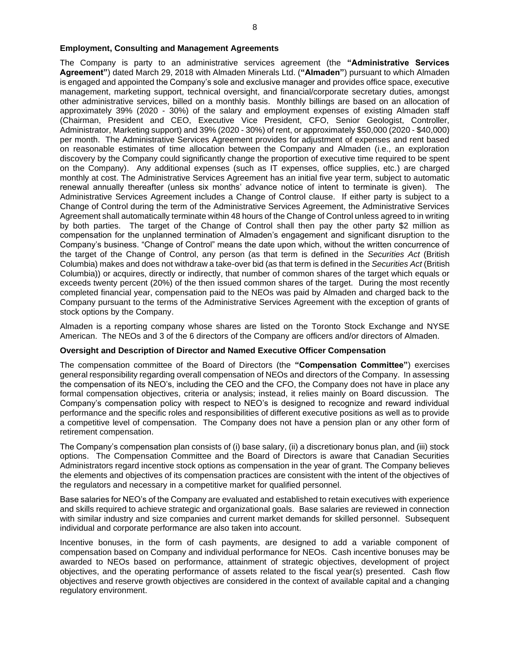# **Employment, Consulting and Management Agreements**

The Company is party to an administrative services agreement (the **"Administrative Services Agreement"**) dated March 29, 2018 with Almaden Minerals Ltd. (**"Almaden"**) pursuant to which Almaden is engaged and appointed the Company's sole and exclusive manager and provides office space, executive management, marketing support, technical oversight, and financial/corporate secretary duties, amongst other administrative services, billed on a monthly basis. Monthly billings are based on an allocation of approximately 39% (2020 - 30%) of the salary and employment expenses of existing Almaden staff (Chairman, President and CEO, Executive Vice President, CFO, Senior Geologist, Controller, Administrator, Marketing support) and 39% (2020 - 30%) of rent, or approximately \$50,000 (2020 - \$40,000) per month. The Administrative Services Agreement provides for adjustment of expenses and rent based on reasonable estimates of time allocation between the Company and Almaden (i.e., an exploration discovery by the Company could significantly change the proportion of executive time required to be spent on the Company). Any additional expenses (such as IT expenses, office supplies, etc.) are charged monthly at cost. The Administrative Services Agreement has an initial five year term, subject to automatic renewal annually thereafter (unless six months' advance notice of intent to terminate is given). The Administrative Services Agreement includes a Change of Control clause. If either party is subject to a Change of Control during the term of the Administrative Services Agreement, the Administrative Services Agreement shall automatically terminate within 48 hours of the Change of Control unless agreed to in writing by both parties. The target of the Change of Control shall then pay the other party \$2 million as compensation for the unplanned termination of Almaden's engagement and significant disruption to the Company's business. "Change of Control" means the date upon which, without the written concurrence of the target of the Change of Control, any person (as that term is defined in the *Securities Act* (British Columbia) makes and does not withdraw a take-over bid (as that term is defined in the *Securities Act* (British Columbia)) or acquires, directly or indirectly, that number of common shares of the target which equals or exceeds twenty percent (20%) of the then issued common shares of the target. During the most recently completed financial year, compensation paid to the NEOs was paid by Almaden and charged back to the Company pursuant to the terms of the Administrative Services Agreement with the exception of grants of stock options by the Company.

Almaden is a reporting company whose shares are listed on the Toronto Stock Exchange and NYSE American. The NEOs and 3 of the 6 directors of the Company are officers and/or directors of Almaden.

## **Oversight and Description of Director and Named Executive Officer Compensation**

The compensation committee of the Board of Directors (the **"Compensation Committee"**) exercises general responsibility regarding overall compensation of NEOs and directors of the Company. In assessing the compensation of its NEO's, including the CEO and the CFO, the Company does not have in place any formal compensation objectives, criteria or analysis; instead, it relies mainly on Board discussion. The Company's compensation policy with respect to NEO's is designed to recognize and reward individual performance and the specific roles and responsibilities of different executive positions as well as to provide a competitive level of compensation. The Company does not have a pension plan or any other form of retirement compensation.

The Company's compensation plan consists of (i) base salary, (ii) a discretionary bonus plan, and (iii) stock options. The Compensation Committee and the Board of Directors is aware that Canadian Securities Administrators regard incentive stock options as compensation in the year of grant. The Company believes the elements and objectives of its compensation practices are consistent with the intent of the objectives of the regulators and necessary in a competitive market for qualified personnel.

Base salaries for NEO's of the Company are evaluated and established to retain executives with experience and skills required to achieve strategic and organizational goals. Base salaries are reviewed in connection with similar industry and size companies and current market demands for skilled personnel. Subsequent individual and corporate performance are also taken into account.

Incentive bonuses, in the form of cash payments, are designed to add a variable component of compensation based on Company and individual performance for NEOs. Cash incentive bonuses may be awarded to NEOs based on performance, attainment of strategic objectives, development of project objectives, and the operating performance of assets related to the fiscal year(s) presented. Cash flow objectives and reserve growth objectives are considered in the context of available capital and a changing regulatory environment.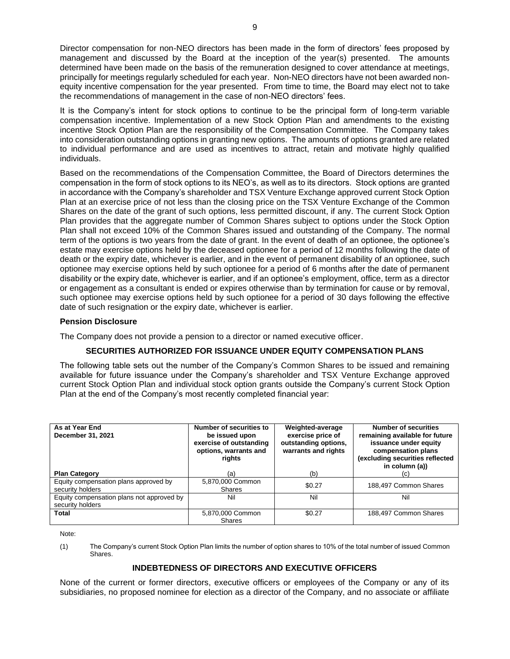Director compensation for non-NEO directors has been made in the form of directors' fees proposed by management and discussed by the Board at the inception of the year(s) presented. The amounts determined have been made on the basis of the remuneration designed to cover attendance at meetings, principally for meetings regularly scheduled for each year. Non-NEO directors have not been awarded nonequity incentive compensation for the year presented. From time to time, the Board may elect not to take the recommendations of management in the case of non-NEO directors' fees.

It is the Company's intent for stock options to continue to be the principal form of long-term variable compensation incentive. Implementation of a new Stock Option Plan and amendments to the existing incentive Stock Option Plan are the responsibility of the Compensation Committee. The Company takes into consideration outstanding options in granting new options. The amounts of options granted are related to individual performance and are used as incentives to attract, retain and motivate highly qualified individuals.

Based on the recommendations of the Compensation Committee, the Board of Directors determines the compensation in the form of stock options to its NEO's, as well as to its directors. Stock options are granted in accordance with the Company's shareholder and TSX Venture Exchange approved current Stock Option Plan at an exercise price of not less than the closing price on the TSX Venture Exchange of the Common Shares on the date of the grant of such options, less permitted discount, if any. The current Stock Option Plan provides that the aggregate number of Common Shares subject to options under the Stock Option Plan shall not exceed 10% of the Common Shares issued and outstanding of the Company. The normal term of the options is two years from the date of grant. In the event of death of an optionee, the optionee's estate may exercise options held by the deceased optionee for a period of 12 months following the date of death or the expiry date, whichever is earlier, and in the event of permanent disability of an optionee, such optionee may exercise options held by such optionee for a period of 6 months after the date of permanent disability or the expiry date, whichever is earlier, and if an optionee's employment, office, term as a director or engagement as a consultant is ended or expires otherwise than by termination for cause or by removal, such optionee may exercise options held by such optionee for a period of 30 days following the effective date of such resignation or the expiry date, whichever is earlier.

## **Pension Disclosure**

The Company does not provide a pension to a director or named executive officer.

# **SECURITIES AUTHORIZED FOR ISSUANCE UNDER EQUITY COMPENSATION PLANS**

The following table sets out the number of the Company's Common Shares to be issued and remaining available for future issuance under the Company's shareholder and TSX Venture Exchange approved current Stock Option Plan and individual stock option grants outside the Company's current Stock Option Plan at the end of the Company's most recently completed financial year:

| As at Year End<br>December 31, 2021                           | Number of securities to<br>be issued upon<br>exercise of outstanding<br>options, warrants and<br>rights | Weighted-average<br>exercise price of<br>outstanding options,<br>warrants and rights | <b>Number of securities</b><br>remaining available for future<br>issuance under equity<br>compensation plans<br>(excluding securities reflected<br>in column (a)) |
|---------------------------------------------------------------|---------------------------------------------------------------------------------------------------------|--------------------------------------------------------------------------------------|-------------------------------------------------------------------------------------------------------------------------------------------------------------------|
| <b>Plan Category</b>                                          | (a)                                                                                                     | (b)                                                                                  |                                                                                                                                                                   |
| Equity compensation plans approved by<br>security holders     | 5,870,000 Common<br><b>Shares</b>                                                                       | \$0.27                                                                               | 188,497 Common Shares                                                                                                                                             |
| Equity compensation plans not approved by<br>security holders | Nil                                                                                                     | Nil                                                                                  | Nil                                                                                                                                                               |
| Total                                                         | 5,870,000 Common<br><b>Shares</b>                                                                       | \$0.27                                                                               | 188,497 Common Shares                                                                                                                                             |

Note:

(1) The Company's current Stock Option Plan limits the number of option shares to 10% of the total number of issued Common Shares.

# **INDEBTEDNESS OF DIRECTORS AND EXECUTIVE OFFICERS**

None of the current or former directors, executive officers or employees of the Company or any of its subsidiaries, no proposed nominee for election as a director of the Company, and no associate or affiliate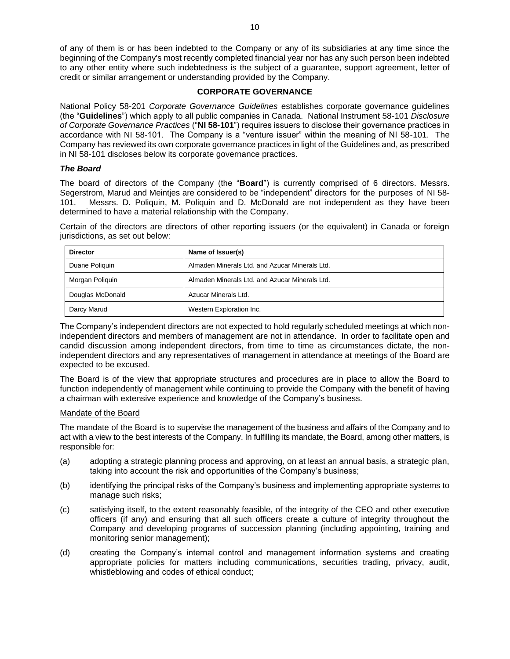of any of them is or has been indebted to the Company or any of its subsidiaries at any time since the beginning of the Company's most recently completed financial year nor has any such person been indebted to any other entity where such indebtedness is the subject of a guarantee, support agreement, letter of credit or similar arrangement or understanding provided by the Company.

# **CORPORATE GOVERNANCE**

National Policy 58-201 *Corporate Governance Guidelines* establishes corporate governance guidelines (the "**Guidelines**") which apply to all public companies in Canada. National Instrument 58-101 *Disclosure of Corporate Governance Practices* ("**NI 58-101**") requires issuers to disclose their governance practices in accordance with NI 58-101. The Company is a "venture issuer" within the meaning of NI 58-101. The Company has reviewed its own corporate governance practices in light of the Guidelines and, as prescribed in NI 58-101 discloses below its corporate governance practices.

## *The Board*

The board of directors of the Company (the "**Board**") is currently comprised of 6 directors. Messrs. Segerstrom, Marud and Meintjes are considered to be "independent" directors for the purposes of NI 58- 101. Messrs. D. Poliquin, M. Poliquin and D. McDonald are not independent as they have been determined to have a material relationship with the Company.

Certain of the directors are directors of other reporting issuers (or the equivalent) in Canada or foreign jurisdictions, as set out below:

| <b>Director</b>  | Name of Issuer(s)                              |  |
|------------------|------------------------------------------------|--|
| Duane Poliquin   | Almaden Minerals Ltd. and Azucar Minerals Ltd. |  |
| Morgan Poliquin  | Almaden Minerals Ltd. and Azucar Minerals Ltd. |  |
| Douglas McDonald | Azucar Minerals Ltd.                           |  |
| Darcy Marud      | Western Exploration Inc.                       |  |

The Company's independent directors are not expected to hold regularly scheduled meetings at which nonindependent directors and members of management are not in attendance. In order to facilitate open and candid discussion among independent directors, from time to time as circumstances dictate, the nonindependent directors and any representatives of management in attendance at meetings of the Board are expected to be excused.

The Board is of the view that appropriate structures and procedures are in place to allow the Board to function independently of management while continuing to provide the Company with the benefit of having a chairman with extensive experience and knowledge of the Company's business.

## Mandate of the Board

The mandate of the Board is to supervise the management of the business and affairs of the Company and to act with a view to the best interests of the Company. In fulfilling its mandate, the Board, among other matters, is responsible for:

- (a) adopting a strategic planning process and approving, on at least an annual basis, a strategic plan, taking into account the risk and opportunities of the Company's business;
- (b) identifying the principal risks of the Company's business and implementing appropriate systems to manage such risks;
- (c) satisfying itself, to the extent reasonably feasible, of the integrity of the CEO and other executive officers (if any) and ensuring that all such officers create a culture of integrity throughout the Company and developing programs of succession planning (including appointing, training and monitoring senior management);
- (d) creating the Company's internal control and management information systems and creating appropriate policies for matters including communications, securities trading, privacy, audit, whistleblowing and codes of ethical conduct;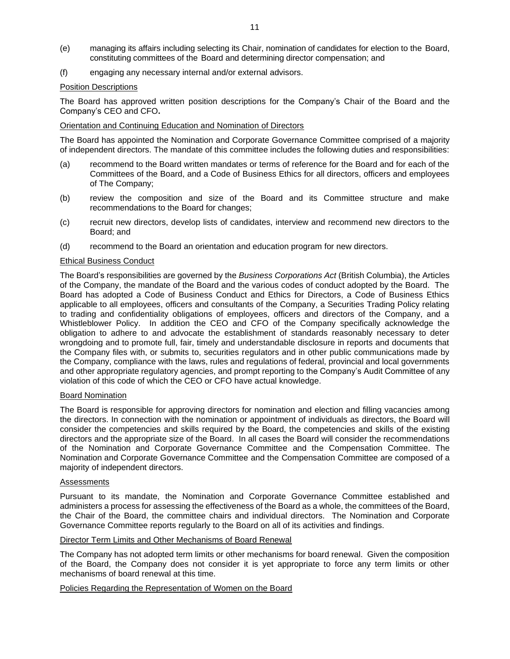- (e) managing its affairs including selecting its Chair, nomination of candidates for election to the Board, constituting committees of the Board and determining director compensation; and
- (f) engaging any necessary internal and/or external advisors.

#### Position Descriptions

The Board has approved written position descriptions for the Company's Chair of the Board and the Company's CEO and CFO**.**

#### Orientation and Continuing Education and Nomination of Directors

The Board has appointed the Nomination and Corporate Governance Committee comprised of a majority of independent directors. The mandate of this committee includes the following duties and responsibilities:

- (a) recommend to the Board written mandates or terms of reference for the Board and for each of the Committees of the Board, and a Code of Business Ethics for all directors, officers and employees of The Company;
- (b) review the composition and size of the Board and its Committee structure and make recommendations to the Board for changes;
- (c) recruit new directors, develop lists of candidates, interview and recommend new directors to the Board; and
- (d) recommend to the Board an orientation and education program for new directors.

#### Ethical Business Conduct

The Board's responsibilities are governed by the *Business Corporations Act* (British Columbia), the Articles of the Company, the mandate of the Board and the various codes of conduct adopted by the Board. The Board has adopted a Code of Business Conduct and Ethics for Directors, a Code of Business Ethics applicable to all employees, officers and consultants of the Company, a Securities Trading Policy relating to trading and confidentiality obligations of employees, officers and directors of the Company, and a Whistleblower Policy. In addition the CEO and CFO of the Company specifically acknowledge the obligation to adhere to and advocate the establishment of standards reasonably necessary to deter wrongdoing and to promote full, fair, timely and understandable disclosure in reports and documents that the Company files with, or submits to, securities regulators and in other public communications made by the Company, compliance with the laws, rules and regulations of federal, provincial and local governments and other appropriate regulatory agencies, and prompt reporting to the Company's Audit Committee of any violation of this code of which the CEO or CFO have actual knowledge.

#### Board Nomination

The Board is responsible for approving directors for nomination and election and filling vacancies among the directors. In connection with the nomination or appointment of individuals as directors, the Board will consider the competencies and skills required by the Board, the competencies and skills of the existing directors and the appropriate size of the Board. In all cases the Board will consider the recommendations of the Nomination and Corporate Governance Committee and the Compensation Committee. The Nomination and Corporate Governance Committee and the Compensation Committee are composed of a majority of independent directors.

#### **Assessments**

Pursuant to its mandate, the Nomination and Corporate Governance Committee established and administers a process for assessing the effectiveness of the Board as a whole, the committees of the Board, the Chair of the Board, the committee chairs and individual directors. The Nomination and Corporate Governance Committee reports regularly to the Board on all of its activities and findings.

## Director Term Limits and Other Mechanisms of Board Renewal

The Company has not adopted term limits or other mechanisms for board renewal. Given the composition of the Board, the Company does not consider it is yet appropriate to force any term limits or other mechanisms of board renewal at this time.

#### Policies Regarding the Representation of Women on the Board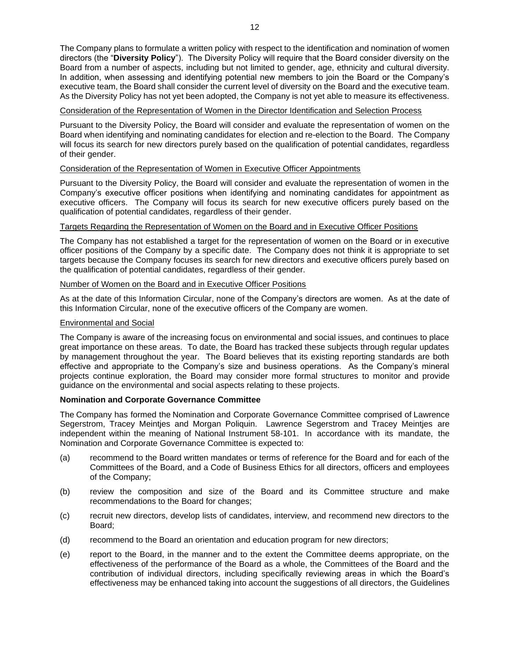The Company plans to formulate a written policy with respect to the identification and nomination of women directors (the "**Diversity Policy**"). The Diversity Policy will require that the Board consider diversity on the Board from a number of aspects, including but not limited to gender, age, ethnicity and cultural diversity. In addition, when assessing and identifying potential new members to join the Board or the Company's executive team, the Board shall consider the current level of diversity on the Board and the executive team. As the Diversity Policy has not yet been adopted, the Company is not yet able to measure its effectiveness.

## Consideration of the Representation of Women in the Director Identification and Selection Process

Pursuant to the Diversity Policy, the Board will consider and evaluate the representation of women on the Board when identifying and nominating candidates for election and re-election to the Board. The Company will focus its search for new directors purely based on the qualification of potential candidates, regardless of their gender.

#### Consideration of the Representation of Women in Executive Officer Appointments

Pursuant to the Diversity Policy, the Board will consider and evaluate the representation of women in the Company's executive officer positions when identifying and nominating candidates for appointment as executive officers. The Company will focus its search for new executive officers purely based on the qualification of potential candidates, regardless of their gender.

#### Targets Regarding the Representation of Women on the Board and in Executive Officer Positions

The Company has not established a target for the representation of women on the Board or in executive officer positions of the Company by a specific date. The Company does not think it is appropriate to set targets because the Company focuses its search for new directors and executive officers purely based on the qualification of potential candidates, regardless of their gender.

#### Number of Women on the Board and in Executive Officer Positions

As at the date of this Information Circular, none of the Company's directors are women. As at the date of this Information Circular, none of the executive officers of the Company are women.

#### Environmental and Social

The Company is aware of the increasing focus on environmental and social issues, and continues to place great importance on these areas. To date, the Board has tracked these subjects through regular updates by management throughout the year. The Board believes that its existing reporting standards are both effective and appropriate to the Company's size and business operations. As the Company's mineral projects continue exploration, the Board may consider more formal structures to monitor and provide guidance on the environmental and social aspects relating to these projects.

## **Nomination and Corporate Governance Committee**

The Company has formed the Nomination and Corporate Governance Committee comprised of Lawrence Segerstrom, Tracey Meintjes and Morgan Poliquin. Lawrence Segerstrom and Tracey Meintjes are independent within the meaning of National Instrument 58-101. In accordance with its mandate, the Nomination and Corporate Governance Committee is expected to:

- (a) recommend to the Board written mandates or terms of reference for the Board and for each of the Committees of the Board, and a Code of Business Ethics for all directors, officers and employees of the Company;
- (b) review the composition and size of the Board and its Committee structure and make recommendations to the Board for changes;
- (c) recruit new directors, develop lists of candidates, interview, and recommend new directors to the Board;
- (d) recommend to the Board an orientation and education program for new directors;
- (e) report to the Board, in the manner and to the extent the Committee deems appropriate, on the effectiveness of the performance of the Board as a whole, the Committees of the Board and the contribution of individual directors, including specifically reviewing areas in which the Board's effectiveness may be enhanced taking into account the suggestions of all directors, the Guidelines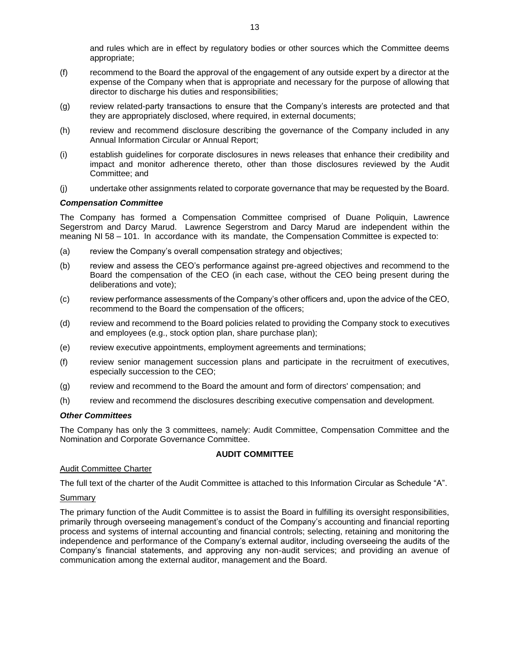and rules which are in effect by regulatory bodies or other sources which the Committee deems appropriate;

- (f) recommend to the Board the approval of the engagement of any outside expert by a director at the expense of the Company when that is appropriate and necessary for the purpose of allowing that director to discharge his duties and responsibilities;
- (g) review related-party transactions to ensure that the Company's interests are protected and that they are appropriately disclosed, where required, in external documents;
- (h) review and recommend disclosure describing the governance of the Company included in any Annual Information Circular or Annual Report;
- (i) establish guidelines for corporate disclosures in news releases that enhance their credibility and impact and monitor adherence thereto, other than those disclosures reviewed by the Audit Committee; and
- (j) undertake other assignments related to corporate governance that may be requested by the Board.

## *Compensation Committee*

The Company has formed a Compensation Committee comprised of Duane Poliquin, Lawrence Segerstrom and Darcy Marud. Lawrence Segerstrom and Darcy Marud are independent within the meaning NI 58 – 101. In accordance with its mandate, the Compensation Committee is expected to:

- (a) review the Company's overall compensation strategy and objectives;
- (b) review and assess the CEO's performance against pre-agreed objectives and recommend to the Board the compensation of the CEO (in each case, without the CEO being present during the deliberations and vote);
- (c) review performance assessments of the Company's other officers and, upon the advice of the CEO, recommend to the Board the compensation of the officers;
- (d) review and recommend to the Board policies related to providing the Company stock to executives and employees (e.g., stock option plan, share purchase plan);
- (e) review executive appointments, employment agreements and terminations;
- (f) review senior management succession plans and participate in the recruitment of executives, especially succession to the CEO;
- (g) review and recommend to the Board the amount and form of directors' compensation; and
- (h) review and recommend the disclosures describing executive compensation and development.

## *Other Committees*

The Company has only the 3 committees, namely: Audit Committee, Compensation Committee and the Nomination and Corporate Governance Committee.

# **AUDIT COMMITTEE**

## Audit Committee Charter

The full text of the charter of the Audit Committee is attached to this Information Circular as Schedule "A".

## Summary

The primary function of the Audit Committee is to assist the Board in fulfilling its oversight responsibilities, primarily through overseeing management's conduct of the Company's accounting and financial reporting process and systems of internal accounting and financial controls; selecting, retaining and monitoring the independence and performance of the Company's external auditor, including overseeing the audits of the Company's financial statements, and approving any non-audit services; and providing an avenue of communication among the external auditor, management and the Board.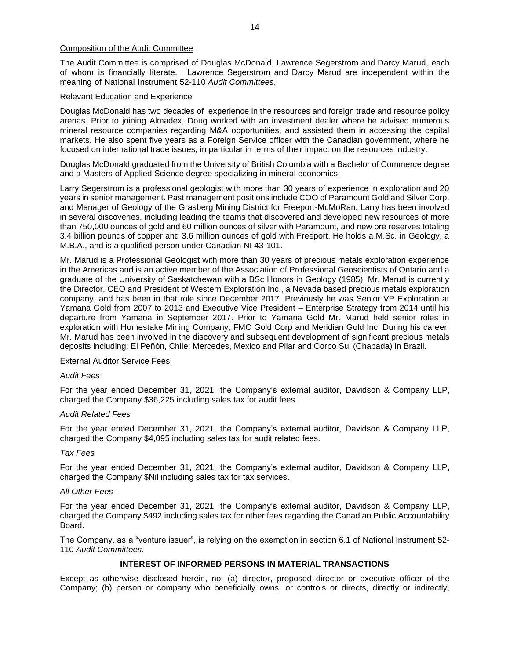#### Composition of the Audit Committee

The Audit Committee is comprised of Douglas McDonald, Lawrence Segerstrom and Darcy Marud, each of whom is financially literate. Lawrence Segerstrom and Darcy Marud are independent within the meaning of National Instrument 52-110 *Audit Committees*.

#### Relevant Education and Experience

Douglas McDonald has two decades of experience in the resources and foreign trade and resource policy arenas. Prior to joining Almadex, Doug worked with an investment dealer where he advised numerous mineral resource companies regarding M&A opportunities, and assisted them in accessing the capital markets. He also spent five years as a Foreign Service officer with the Canadian government, where he focused on international trade issues, in particular in terms of their impact on the resources industry.

Douglas McDonald graduated from the University of British Columbia with a Bachelor of Commerce degree and a Masters of Applied Science degree specializing in mineral economics.

Larry Segerstrom is a professional geologist with more than 30 years of experience in exploration and 20 years in senior management. Past management positions include COO of Paramount Gold and Silver Corp. and Manager of Geology of the Grasberg Mining District for Freeport-McMoRan. Larry has been involved in several discoveries, including leading the teams that discovered and developed new resources of more than 750,000 ounces of gold and 60 million ounces of silver with Paramount, and new ore reserves totaling 3.4 billion pounds of copper and 3.6 million ounces of gold with Freeport. He holds a M.Sc. in Geology, a M.B.A., and is a qualified person under Canadian NI 43-101.

Mr. Marud is a Professional Geologist with more than 30 years of precious metals exploration experience in the Americas and is an active member of the Association of Professional Geoscientists of Ontario and a graduate of the University of Saskatchewan with a BSc Honors in Geology (1985). Mr. Marud is currently the Director, CEO and President of Western Exploration Inc., a Nevada based precious metals exploration company, and has been in that role since December 2017. Previously he was Senior VP Exploration at Yamana Gold from 2007 to 2013 and Executive Vice President – Enterprise Strategy from 2014 until his departure from Yamana in September 2017. Prior to Yamana Gold Mr. Marud held senior roles in exploration with Homestake Mining Company, FMC Gold Corp and Meridian Gold Inc. During his career, Mr. Marud has been involved in the discovery and subsequent development of significant precious metals deposits including: El Peñón, Chile; Mercedes, Mexico and Pilar and Corpo Sul (Chapada) in Brazil.

#### External Auditor Service Fees

#### *Audit Fees*

For the year ended December 31, 2021, the Company's external auditor, Davidson & Company LLP, charged the Company \$36,225 including sales tax for audit fees.

#### *Audit Related Fees*

For the year ended December 31, 2021, the Company's external auditor, Davidson & Company LLP, charged the Company \$4,095 including sales tax for audit related fees.

#### *Tax Fees*

For the year ended December 31, 2021, the Company's external auditor, Davidson & Company LLP, charged the Company \$Nil including sales tax for tax services.

#### *All Other Fees*

For the year ended December 31, 2021, the Company's external auditor, Davidson & Company LLP, charged the Company \$492 including sales tax for other fees regarding the Canadian Public Accountability Board.

The Company, as a "venture issuer", is relying on the exemption in section 6.1 of National Instrument 52- 110 *Audit Committees*.

## **INTEREST OF INFORMED PERSONS IN MATERIAL TRANSACTIONS**

Except as otherwise disclosed herein, no: (a) director, proposed director or executive officer of the Company; (b) person or company who beneficially owns, or controls or directs, directly or indirectly,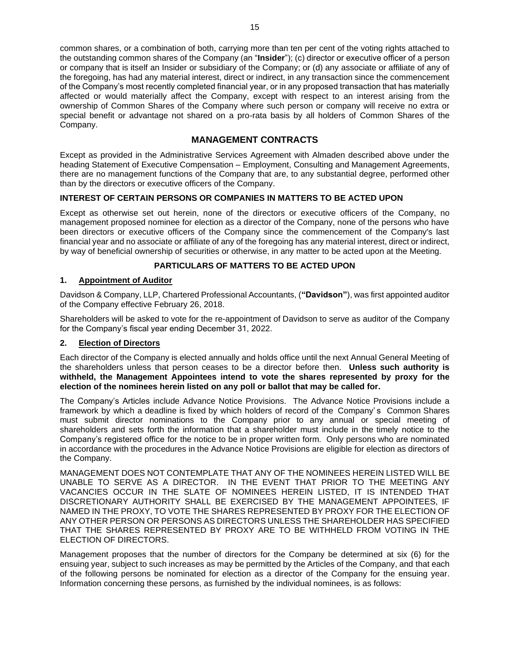common shares, or a combination of both, carrying more than ten per cent of the voting rights attached to the outstanding common shares of the Company (an "**Insider**"); (c) director or executive officer of a person or company that is itself an Insider or subsidiary of the Company; or (d) any associate or affiliate of any of the foregoing, has had any material interest, direct or indirect, in any transaction since the commencement of the Company's most recently completed financial year, or in any proposed transaction that has materially affected or would materially affect the Company, except with respect to an interest arising from the ownership of Common Shares of the Company where such person or company will receive no extra or special benefit or advantage not shared on a pro-rata basis by all holders of Common Shares of the Company.

# **MANAGEMENT CONTRACTS**

Except as provided in the Administrative Services Agreement with Almaden described above under the heading Statement of Executive Compensation – Employment, Consulting and Management Agreements, there are no management functions of the Company that are, to any substantial degree, performed other than by the directors or executive officers of the Company.

# **INTEREST OF CERTAIN PERSONS OR COMPANIES IN MATTERS TO BE ACTED UPON**

Except as otherwise set out herein, none of the directors or executive officers of the Company, no management proposed nominee for election as a director of the Company, none of the persons who have been directors or executive officers of the Company since the commencement of the Company's last financial year and no associate or affiliate of any of the foregoing has any material interest, direct or indirect, by way of beneficial ownership of securities or otherwise, in any matter to be acted upon at the Meeting.

# **PARTICULARS OF MATTERS TO BE ACTED UPON**

# **1. Appointment of Auditor**

Davidson & Company, LLP, Chartered Professional Accountants, (**"Davidson"**), was first appointed auditor of the Company effective February 26, 2018.

Shareholders will be asked to vote for the re-appointment of Davidson to serve as auditor of the Company for the Company's fiscal year ending December 31, 2022.

# **2. Election of Directors**

Each director of the Company is elected annually and holds office until the next Annual General Meeting of the shareholders unless that person ceases to be a director before then. **Unless such authority is withheld, the Management Appointees intend to vote the shares represented by proxy for the election of the nominees herein listed on any poll or ballot that may be called for.**

The Company's Articles include Advance Notice Provisions. The Advance Notice Provisions include a framework by which a deadline is fixed by which holders of record of the Company' s Common Shares must submit director nominations to the Company prior to any annual or special meeting of shareholders and sets forth the information that a shareholder must include in the timely notice to the Company's registered office for the notice to be in proper written form. Only persons who are nominated in accordance with the procedures in the Advance Notice Provisions are eligible for election as directors of the Company.

MANAGEMENT DOES NOT CONTEMPLATE THAT ANY OF THE NOMINEES HEREIN LISTED WILL BE UNABLE TO SERVE AS A DIRECTOR. IN THE EVENT THAT PRIOR TO THE MEETING ANY VACANCIES OCCUR IN THE SLATE OF NOMINEES HEREIN LISTED, IT IS INTENDED THAT DISCRETIONARY AUTHORITY SHALL BE EXERCISED BY THE MANAGEMENT APPOINTEES, IF NAMED IN THE PROXY, TO VOTE THE SHARES REPRESENTED BY PROXY FOR THE ELECTION OF ANY OTHER PERSON OR PERSONS AS DIRECTORS UNLESS THE SHAREHOLDER HAS SPECIFIED THAT THE SHARES REPRESENTED BY PROXY ARE TO BE WITHHELD FROM VOTING IN THE ELECTION OF DIRECTORS.

Management proposes that the number of directors for the Company be determined at six (6) for the ensuing year, subject to such increases as may be permitted by the Articles of the Company, and that each of the following persons be nominated for election as a director of the Company for the ensuing year. Information concerning these persons, as furnished by the individual nominees, is as follows: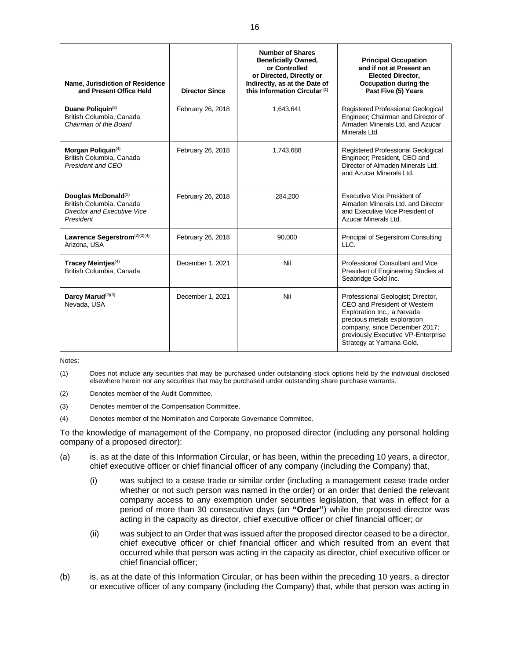| Name, Jurisdiction of Residence<br>and Present Office Held                                              | <b>Director Since</b> | <b>Number of Shares</b><br><b>Beneficially Owned,</b><br>or Controlled<br>or Directed, Directly or<br>Indirectly, as at the Date of<br>this Information Circular <sup>(1)</sup> | <b>Principal Occupation</b><br>and if not at Present an<br><b>Elected Director,</b><br>Occupation during the<br>Past Five (5) Years                                                                                               |
|---------------------------------------------------------------------------------------------------------|-----------------------|---------------------------------------------------------------------------------------------------------------------------------------------------------------------------------|-----------------------------------------------------------------------------------------------------------------------------------------------------------------------------------------------------------------------------------|
| Duane Poliquin(3)<br>British Columbia, Canada<br>Chairman of the Board                                  | February 26, 2018     | 1,643,641                                                                                                                                                                       | Registered Professional Geological<br>Engineer; Chairman and Director of<br>Almaden Minerals Ltd. and Azucar<br>Minerals Ltd.                                                                                                     |
| Morgan Poliquin <sup>(4)</sup><br>British Columbia, Canada<br>President and CEO                         | February 26, 2018     | 1,743,688                                                                                                                                                                       | Registered Professional Geological<br>Engineer; President, CEO and<br>Director of Almaden Minerals Ltd.<br>and Azucar Minerals Ltd.                                                                                               |
| Douglas McDonald <sup>(2)</sup><br>British Columbia, Canada<br>Director and Executive Vice<br>President | February 26, 2018     | 284,200                                                                                                                                                                         | Executive Vice President of<br>Almaden Minerals Ltd. and Director<br>and Executive Vice President of<br>Azucar Minerals Ltd.                                                                                                      |
| Lawrence Segerstrom <sup>(2)(3)(4)</sup><br>Arizona, USA                                                | February 26, 2018     | 90,000                                                                                                                                                                          | Principal of Segerstrom Consulting<br>LLC.                                                                                                                                                                                        |
| Tracey Meintjes <sup>(4)</sup><br>British Columbia, Canada                                              | December 1, 2021      | Nil                                                                                                                                                                             | Professional Consultant and Vice<br>President of Engineering Studies at<br>Seabridge Gold Inc.                                                                                                                                    |
| Darcy Marud <sup>(2)(3)</sup><br>Nevada, USA                                                            | December 1, 2021      | Nil                                                                                                                                                                             | Professional Geologist; Director,<br>CEO and President of Western<br>Exploration Inc., a Nevada<br>precious metals exploration<br>company, since December 2017;<br>previously Executive VP-Enterprise<br>Strategy at Yamana Gold. |

Notes:

(1) Does not include any securities that may be purchased under outstanding stock options held by the individual disclosed elsewhere herein nor any securities that may be purchased under outstanding share purchase warrants.

(2) Denotes member of the Audit Committee.

(3) Denotes member of the Compensation Committee.

(4) Denotes member of the Nomination and Corporate Governance Committee.

To the knowledge of management of the Company, no proposed director (including any personal holding company of a proposed director):

- (a) is, as at the date of this Information Circular, or has been, within the preceding 10 years, a director, chief executive officer or chief financial officer of any company (including the Company) that,
	- (i) was subject to a cease trade or similar order (including a management cease trade order whether or not such person was named in the order) or an order that denied the relevant company access to any exemption under securities legislation, that was in effect for a period of more than 30 consecutive days (an **"Order"**) while the proposed director was acting in the capacity as director, chief executive officer or chief financial officer; or
	- (ii) was subject to an Order that was issued after the proposed director ceased to be a director, chief executive officer or chief financial officer and which resulted from an event that occurred while that person was acting in the capacity as director, chief executive officer or chief financial officer;
- (b) is, as at the date of this Information Circular, or has been within the preceding 10 years, a director or executive officer of any company (including the Company) that, while that person was acting in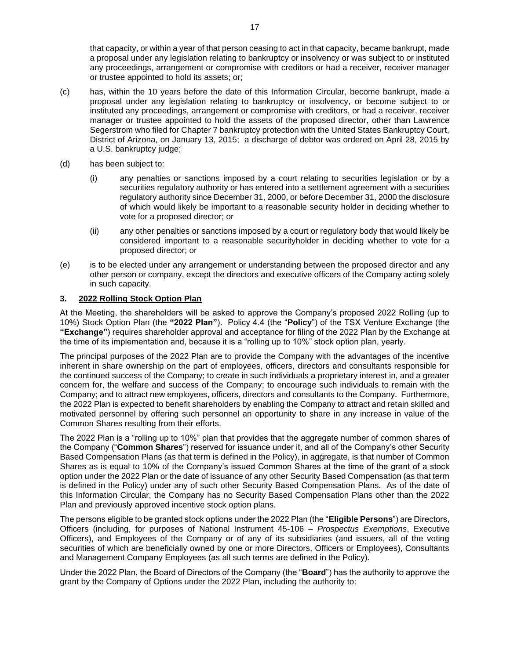that capacity, or within a year of that person ceasing to act in that capacity, became bankrupt, made a proposal under any legislation relating to bankruptcy or insolvency or was subject to or instituted any proceedings, arrangement or compromise with creditors or had a receiver, receiver manager or trustee appointed to hold its assets; or;

- (c) has, within the 10 years before the date of this Information Circular, become bankrupt, made a proposal under any legislation relating to bankruptcy or insolvency, or become subject to or instituted any proceedings, arrangement or compromise with creditors, or had a receiver, receiver manager or trustee appointed to hold the assets of the proposed director, other than Lawrence Segerstrom who filed for Chapter 7 bankruptcy protection with the United States Bankruptcy Court, District of Arizona, on January 13, 2015; a discharge of debtor was ordered on April 28, 2015 by a U.S. bankruptcy judge;
- (d) has been subject to:
	- (i) any penalties or sanctions imposed by a court relating to securities legislation or by a securities regulatory authority or has entered into a settlement agreement with a securities regulatory authority since December 31, 2000, or before December 31, 2000 the disclosure of which would likely be important to a reasonable security holder in deciding whether to vote for a proposed director; or
	- (ii) any other penalties or sanctions imposed by a court or regulatory body that would likely be considered important to a reasonable securityholder in deciding whether to vote for a proposed director; or
- (e) is to be elected under any arrangement or understanding between the proposed director and any other person or company, except the directors and executive officers of the Company acting solely in such capacity.

# **3. 2022 Rolling Stock Option Plan**

At the Meeting, the shareholders will be asked to approve the Company's proposed 2022 Rolling (up to 10%) Stock Option Plan (the **"2022 Plan"**). Policy 4.4 (the "**Policy**") of the TSX Venture Exchange (the **"Exchange"**) requires shareholder approval and acceptance for filing of the 2022 Plan by the Exchange at the time of its implementation and, because it is a "rolling up to 10%" stock option plan, yearly.

The principal purposes of the 2022 Plan are to provide the Company with the advantages of the incentive inherent in share ownership on the part of employees, officers, directors and consultants responsible for the continued success of the Company; to create in such individuals a proprietary interest in, and a greater concern for, the welfare and success of the Company; to encourage such individuals to remain with the Company; and to attract new employees, officers, directors and consultants to the Company. Furthermore, the 2022 Plan is expected to benefit shareholders by enabling the Company to attract and retain skilled and motivated personnel by offering such personnel an opportunity to share in any increase in value of the Common Shares resulting from their efforts.

The 2022 Plan is a "rolling up to 10%" plan that provides that the aggregate number of common shares of the Company ("**Common Shares**") reserved for issuance under it, and all of the Company's other Security Based Compensation Plans (as that term is defined in the Policy), in aggregate, is that number of Common Shares as is equal to 10% of the Company's issued Common Shares at the time of the grant of a stock option under the 2022 Plan or the date of issuance of any other Security Based Compensation (as that term is defined in the Policy) under any of such other Security Based Compensation Plans. As of the date of this Information Circular, the Company has no Security Based Compensation Plans other than the 2022 Plan and previously approved incentive stock option plans.

The persons eligible to be granted stock options under the 2022 Plan (the "**Eligible Persons**") are Directors, Officers (including, for purposes of National Instrument 45-106 – *Prospectus Exemptions*, Executive Officers), and Employees of the Company or of any of its subsidiaries (and issuers, all of the voting securities of which are beneficially owned by one or more Directors, Officers or Employees), Consultants and Management Company Employees (as all such terms are defined in the Policy).

Under the 2022 Plan, the Board of Directors of the Company (the "**Board**") has the authority to approve the grant by the Company of Options under the 2022 Plan, including the authority to: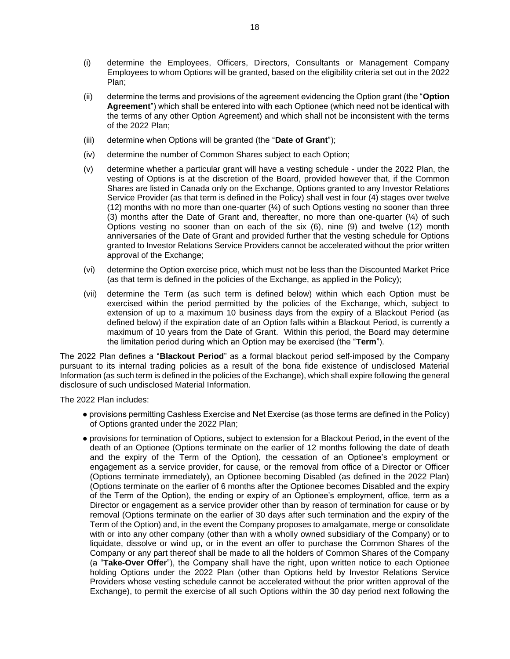- (i) determine the Employees, Officers, Directors, Consultants or Management Company Employees to whom Options will be granted, based on the eligibility criteria set out in the 2022 Plan;
- (ii) determine the terms and provisions of the agreement evidencing the Option grant (the "**Option Agreement**") which shall be entered into with each Optionee (which need not be identical with the terms of any other Option Agreement) and which shall not be inconsistent with the terms of the 2022 Plan;
- (iii) determine when Options will be granted (the "**Date of Grant**");
- (iv) determine the number of Common Shares subject to each Option;
- (v) determine whether a particular grant will have a vesting schedule under the 2022 Plan, the vesting of Options is at the discretion of the Board, provided however that, if the Common Shares are listed in Canada only on the Exchange, Options granted to any Investor Relations Service Provider (as that term is defined in the Policy) shall vest in four (4) stages over twelve  $(12)$  months with no more than one-quarter  $(½)$  of such Options vesting no sooner than three (3) months after the Date of Grant and, thereafter, no more than one-quarter  $(\frac{1}{4})$  of such Options vesting no sooner than on each of the six (6), nine (9) and twelve (12) month anniversaries of the Date of Grant and provided further that the vesting schedule for Options granted to Investor Relations Service Providers cannot be accelerated without the prior written approval of the Exchange;
- (vi) determine the Option exercise price, which must not be less than the Discounted Market Price (as that term is defined in the policies of the Exchange, as applied in the Policy);
- (vii) determine the Term (as such term is defined below) within which each Option must be exercised within the period permitted by the policies of the Exchange, which, subject to extension of up to a maximum 10 business days from the expiry of a Blackout Period (as defined below) if the expiration date of an Option falls within a Blackout Period, is currently a maximum of 10 years from the Date of Grant. Within this period, the Board may determine the limitation period during which an Option may be exercised (the "**Term**").

The 2022 Plan defines a "**Blackout Period**" as a formal blackout period self-imposed by the Company pursuant to its internal trading policies as a result of the bona fide existence of undisclosed Material Information (as such term is defined in the policies of the Exchange), which shall expire following the general disclosure of such undisclosed Material Information.

The 2022 Plan includes:

- provisions permitting Cashless Exercise and Net Exercise (as those terms are defined in the Policy) of Options granted under the 2022 Plan;
- provisions for termination of Options, subject to extension for a Blackout Period, in the event of the death of an Optionee (Options terminate on the earlier of 12 months following the date of death and the expiry of the Term of the Option), the cessation of an Optionee's employment or engagement as a service provider, for cause, or the removal from office of a Director or Officer (Options terminate immediately), an Optionee becoming Disabled (as defined in the 2022 Plan) (Options terminate on the earlier of 6 months after the Optionee becomes Disabled and the expiry of the Term of the Option), the ending or expiry of an Optionee's employment, office, term as a Director or engagement as a service provider other than by reason of termination for cause or by removal (Options terminate on the earlier of 30 days after such termination and the expiry of the Term of the Option) and, in the event the Company proposes to amalgamate, merge or consolidate with or into any other company (other than with a wholly owned subsidiary of the Company) or to liquidate, dissolve or wind up, or in the event an offer to purchase the Common Shares of the Company or any part thereof shall be made to all the holders of Common Shares of the Company (a "**Take-Over Offer**"), the Company shall have the right, upon written notice to each Optionee holding Options under the 2022 Plan (other than Options held by Investor Relations Service Providers whose vesting schedule cannot be accelerated without the prior written approval of the Exchange), to permit the exercise of all such Options within the 30 day period next following the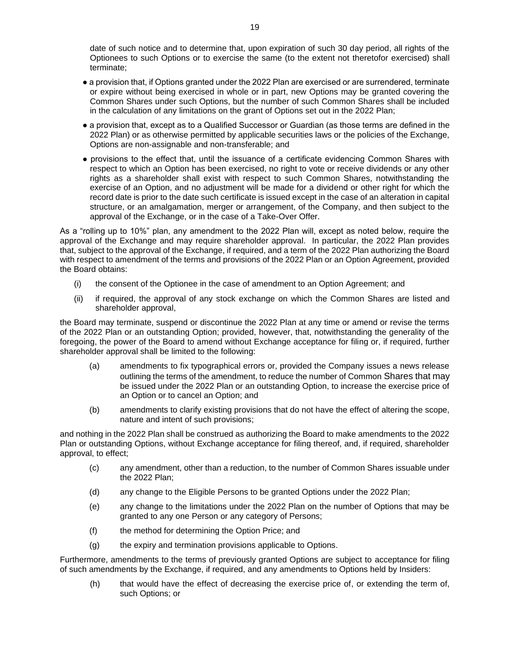date of such notice and to determine that, upon expiration of such 30 day period, all rights of the Optionees to such Options or to exercise the same (to the extent not theretofor exercised) shall terminate;

- a provision that, if Options granted under the 2022 Plan are exercised or are surrendered, terminate or expire without being exercised in whole or in part, new Options may be granted covering the Common Shares under such Options, but the number of such Common Shares shall be included in the calculation of any limitations on the grant of Options set out in the 2022 Plan;
- a provision that, except as to a Qualified Successor or Guardian (as those terms are defined in the 2022 Plan) or as otherwise permitted by applicable securities laws or the policies of the Exchange, Options are non-assignable and non-transferable; and
- provisions to the effect that, until the issuance of a certificate evidencing Common Shares with respect to which an Option has been exercised, no right to vote or receive dividends or any other rights as a shareholder shall exist with respect to such Common Shares, notwithstanding the exercise of an Option, and no adjustment will be made for a dividend or other right for which the record date is prior to the date such certificate is issued except in the case of an alteration in capital structure, or an amalgamation, merger or arrangement, of the Company, and then subject to the approval of the Exchange, or in the case of a Take-Over Offer.

As a "rolling up to 10%" plan, any amendment to the 2022 Plan will, except as noted below, require the approval of the Exchange and may require shareholder approval. In particular, the 2022 Plan provides that, subject to the approval of the Exchange, if required, and a term of the 2022 Plan authorizing the Board with respect to amendment of the terms and provisions of the 2022 Plan or an Option Agreement, provided the Board obtains:

- (i) the consent of the Optionee in the case of amendment to an Option Agreement; and
- (ii) if required, the approval of any stock exchange on which the Common Shares are listed and shareholder approval,

the Board may terminate, suspend or discontinue the 2022 Plan at any time or amend or revise the terms of the 2022 Plan or an outstanding Option; provided, however, that, notwithstanding the generality of the foregoing, the power of the Board to amend without Exchange acceptance for filing or, if required, further shareholder approval shall be limited to the following:

- (a) amendments to fix typographical errors or, provided the Company issues a news release outlining the terms of the amendment, to reduce the number of Common Shares that may be issued under the 2022 Plan or an outstanding Option, to increase the exercise price of an Option or to cancel an Option; and
- (b) amendments to clarify existing provisions that do not have the effect of altering the scope, nature and intent of such provisions;

and nothing in the 2022 Plan shall be construed as authorizing the Board to make amendments to the 2022 Plan or outstanding Options, without Exchange acceptance for filing thereof, and, if required, shareholder approval, to effect;

- (c) any amendment, other than a reduction, to the number of Common Shares issuable under the 2022 Plan;
- (d) any change to the Eligible Persons to be granted Options under the 2022 Plan;
- (e) any change to the limitations under the 2022 Plan on the number of Options that may be granted to any one Person or any category of Persons;
- (f) the method for determining the Option Price; and
- (g) the expiry and termination provisions applicable to Options.

Furthermore, amendments to the terms of previously granted Options are subject to acceptance for filing of such amendments by the Exchange, if required, and any amendments to Options held by Insiders:

(h) that would have the effect of decreasing the exercise price of, or extending the term of, such Options; or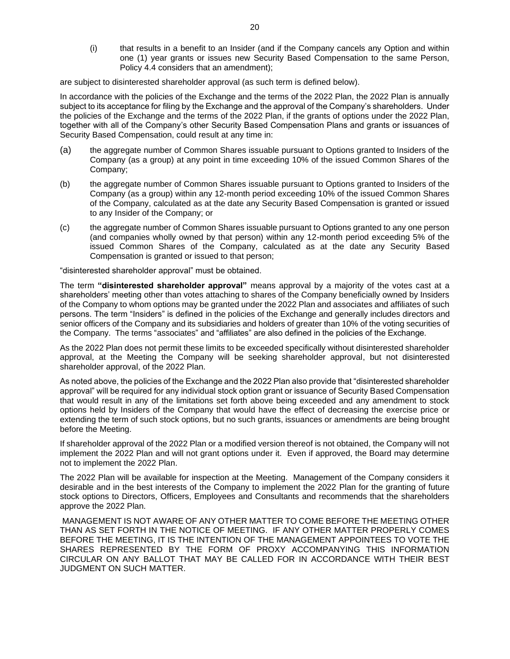(i) that results in a benefit to an Insider (and if the Company cancels any Option and within one (1) year grants or issues new Security Based Compensation to the same Person, Policy 4.4 considers that an amendment);

are subject to disinterested shareholder approval (as such term is defined below).

In accordance with the policies of the Exchange and the terms of the 2022 Plan, the 2022 Plan is annually subject to its acceptance for filing by the Exchange and the approval of the Company's shareholders. Under the policies of the Exchange and the terms of the 2022 Plan, if the grants of options under the 2022 Plan, together with all of the Company's other Security Based Compensation Plans and grants or issuances of Security Based Compensation, could result at any time in:

- (a) the aggregate number of Common Shares issuable pursuant to Options granted to Insiders of the Company (as a group) at any point in time exceeding 10% of the issued Common Shares of the Company;
- (b) the aggregate number of Common Shares issuable pursuant to Options granted to Insiders of the Company (as a group) within any 12-month period exceeding 10% of the issued Common Shares of the Company, calculated as at the date any Security Based Compensation is granted or issued to any Insider of the Company; or
- (c) the aggregate number of Common Shares issuable pursuant to Options granted to any one person (and companies wholly owned by that person) within any 12-month period exceeding 5% of the issued Common Shares of the Company, calculated as at the date any Security Based Compensation is granted or issued to that person;

"disinterested shareholder approval" must be obtained.

The term **"disinterested shareholder approval"** means approval by a majority of the votes cast at a shareholders' meeting other than votes attaching to shares of the Company beneficially owned by Insiders of the Company to whom options may be granted under the 2022 Plan and associates and affiliates of such persons. The term "Insiders" is defined in the policies of the Exchange and generally includes directors and senior officers of the Company and its subsidiaries and holders of greater than 10% of the voting securities of the Company. The terms "associates" and "affiliates" are also defined in the policies of the Exchange.

As the 2022 Plan does not permit these limits to be exceeded specifically without disinterested shareholder approval, at the Meeting the Company will be seeking shareholder approval, but not disinterested shareholder approval, of the 2022 Plan.

As noted above, the policies of the Exchange and the 2022 Plan also provide that "disinterested shareholder approval" will be required for any individual stock option grant or issuance of Security Based Compensation that would result in any of the limitations set forth above being exceeded and any amendment to stock options held by Insiders of the Company that would have the effect of decreasing the exercise price or extending the term of such stock options, but no such grants, issuances or amendments are being brought before the Meeting.

If shareholder approval of the 2022 Plan or a modified version thereof is not obtained, the Company will not implement the 2022 Plan and will not grant options under it. Even if approved, the Board may determine not to implement the 2022 Plan.

The 2022 Plan will be available for inspection at the Meeting. Management of the Company considers it desirable and in the best interests of the Company to implement the 2022 Plan for the granting of future stock options to Directors, Officers, Employees and Consultants and recommends that the shareholders approve the 2022 Plan.

MANAGEMENT IS NOT AWARE OF ANY OTHER MATTER TO COME BEFORE THE MEETING OTHER THAN AS SET FORTH IN THE NOTICE OF MEETING. IF ANY OTHER MATTER PROPERLY COMES BEFORE THE MEETING, IT IS THE INTENTION OF THE MANAGEMENT APPOINTEES TO VOTE THE SHARES REPRESENTED BY THE FORM OF PROXY ACCOMPANYING THIS INFORMATION CIRCULAR ON ANY BALLOT THAT MAY BE CALLED FOR IN ACCORDANCE WITH THEIR BEST JUDGMENT ON SUCH MATTER.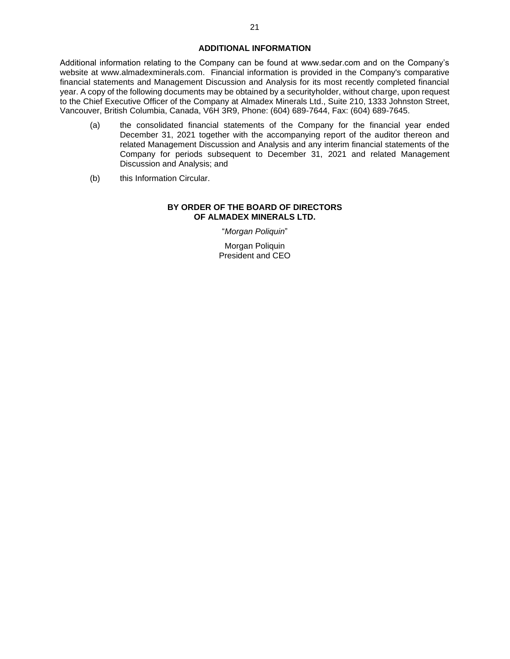#### **ADDITIONAL INFORMATION**

Additional information relating to the Company can be found at www.sedar.com and on the Company's website at www.almadexminerals.com. Financial information is provided in the Company's comparative financial statements and Management Discussion and Analysis for its most recently completed financial year. A copy of the following documents may be obtained by a securityholder, without charge, upon request to the Chief Executive Officer of the Company at Almadex Minerals Ltd., Suite 210, 1333 Johnston Street, Vancouver, British Columbia, Canada, V6H 3R9, Phone: (604) 689-7644, Fax: (604) 689-7645.

- (a) the consolidated financial statements of the Company for the financial year ended December 31, 2021 together with the accompanying report of the auditor thereon and related Management Discussion and Analysis and any interim financial statements of the Company for periods subsequent to December 31, 2021 and related Management Discussion and Analysis; and
- (b) this Information Circular.

#### **BY ORDER OF THE BOARD OF DIRECTORS OF ALMADEX MINERALS LTD.**

"*Morgan Poliquin*"

Morgan Poliquin President and CEO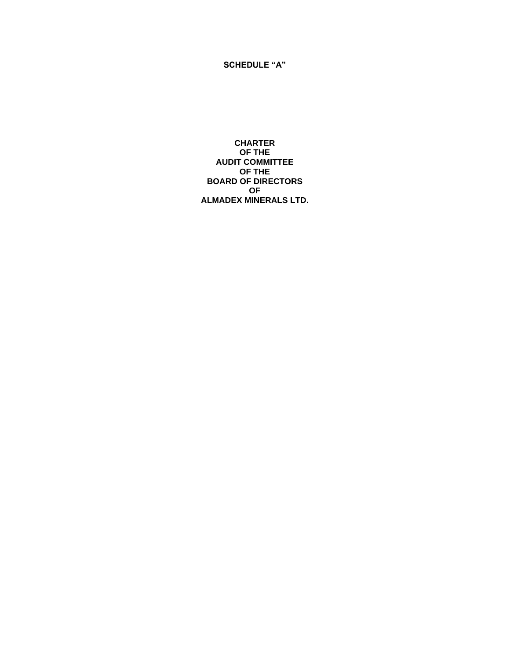**CHARTER OF THE AUDIT COMMITTEE OF THE BOARD OF DIRECTORS OF ALMADEX MINERALS LTD.**

**SCHEDULE "A"**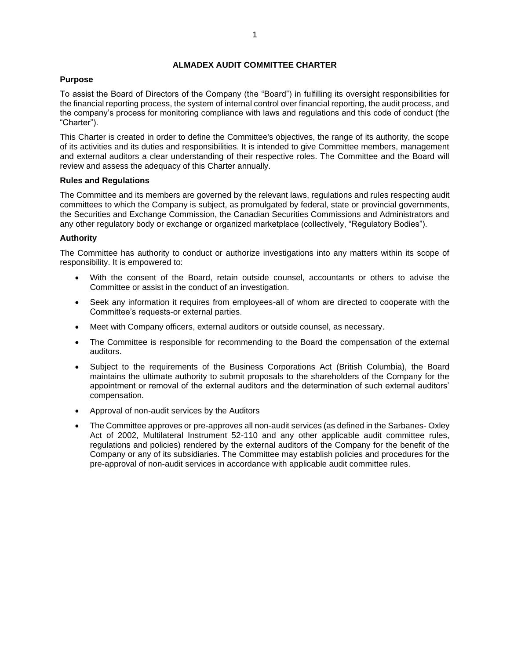# **ALMADEX AUDIT COMMITTEE CHARTER**

## **Purpose**

To assist the Board of Directors of the Company (the "Board") in fulfilling its oversight responsibilities for the financial reporting process, the system of internal control over financial reporting, the audit process, and the company's process for monitoring compliance with laws and regulations and this code of conduct (the "Charter").

This Charter is created in order to define the Committee's objectives, the range of its authority, the scope of its activities and its duties and responsibilities. It is intended to give Committee members, management and external auditors a clear understanding of their respective roles. The Committee and the Board will review and assess the adequacy of this Charter annually.

## **Rules and Regulations**

The Committee and its members are governed by the relevant laws, regulations and rules respecting audit committees to which the Company is subject, as promulgated by federal, state or provincial governments, the Securities and Exchange Commission, the Canadian Securities Commissions and Administrators and any other regulatory body or exchange or organized marketplace (collectively, "Regulatory Bodies").

## **Authority**

The Committee has authority to conduct or authorize investigations into any matters within its scope of responsibility. It is empowered to:

- With the consent of the Board, retain outside counsel, accountants or others to advise the Committee or assist in the conduct of an investigation.
- Seek any information it requires from employees-all of whom are directed to cooperate with the Committee's requests-or external parties.
- Meet with Company officers, external auditors or outside counsel, as necessary.
- The Committee is responsible for recommending to the Board the compensation of the external auditors.
- Subject to the requirements of the Business Corporations Act (British Columbia), the Board maintains the ultimate authority to submit proposals to the shareholders of the Company for the appointment or removal of the external auditors and the determination of such external auditors' compensation.
- Approval of non-audit services by the Auditors
- The Committee approves or pre-approves all non-audit services (as defined in the Sarbanes- Oxley Act of 2002, Multilateral Instrument 52-110 and any other applicable audit committee rules, regulations and policies) rendered by the external auditors of the Company for the benefit of the Company or any of its subsidiaries. The Committee may establish policies and procedures for the pre-approval of non-audit services in accordance with applicable audit committee rules.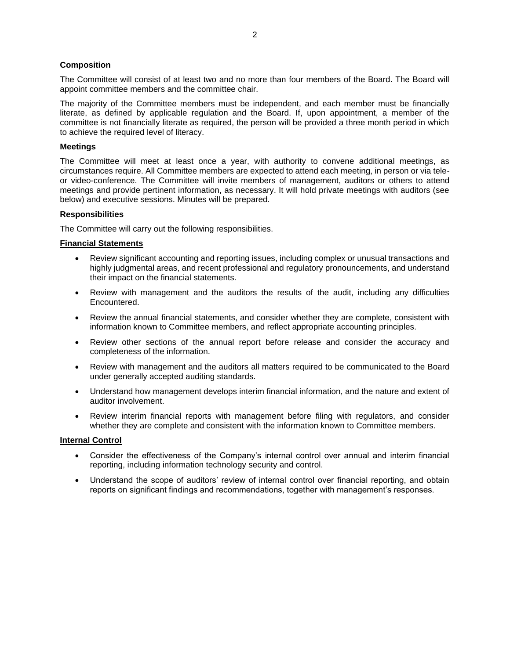## **Composition**

The Committee will consist of at least two and no more than four members of the Board. The Board will appoint committee members and the committee chair.

The majority of the Committee members must be independent, and each member must be financially literate, as defined by applicable regulation and the Board. If, upon appointment, a member of the committee is not financially literate as required, the person will be provided a three month period in which to achieve the required level of literacy.

#### **Meetings**

The Committee will meet at least once a year, with authority to convene additional meetings, as circumstances require. All Committee members are expected to attend each meeting, in person or via teleor video-conference. The Committee will invite members of management, auditors or others to attend meetings and provide pertinent information, as necessary. It will hold private meetings with auditors (see below) and executive sessions. Minutes will be prepared.

#### **Responsibilities**

The Committee will carry out the following responsibilities.

#### **Financial Statements**

- Review significant accounting and reporting issues, including complex or unusual transactions and highly judgmental areas, and recent professional and regulatory pronouncements, and understand their impact on the financial statements.
- Review with management and the auditors the results of the audit, including any difficulties Encountered.
- Review the annual financial statements, and consider whether they are complete, consistent with information known to Committee members, and reflect appropriate accounting principles.
- Review other sections of the annual report before release and consider the accuracy and completeness of the information.
- Review with management and the auditors all matters required to be communicated to the Board under generally accepted auditing standards.
- Understand how management develops interim financial information, and the nature and extent of auditor involvement.
- Review interim financial reports with management before filing with regulators, and consider whether they are complete and consistent with the information known to Committee members.

#### **Internal Control**

- Consider the effectiveness of the Company's internal control over annual and interim financial reporting, including information technology security and control.
- Understand the scope of auditors' review of internal control over financial reporting, and obtain reports on significant findings and recommendations, together with management's responses.